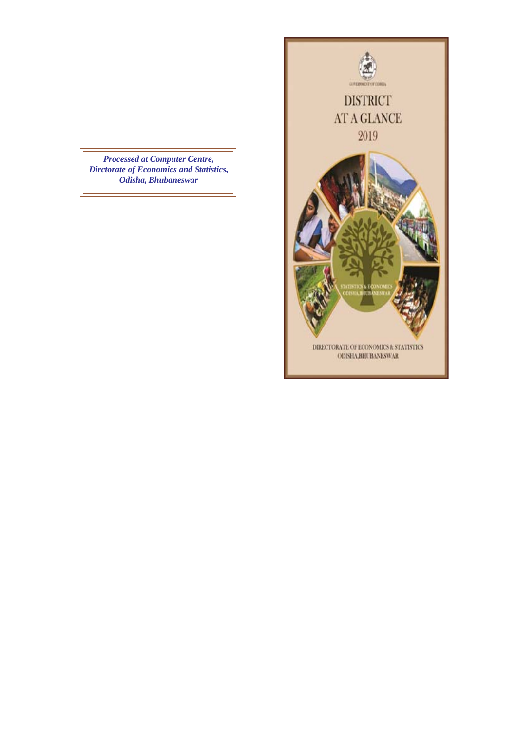*Processed at Computer Centre, Dirctorate of Economics and Statistics, Odisha, Bhubaneswar*

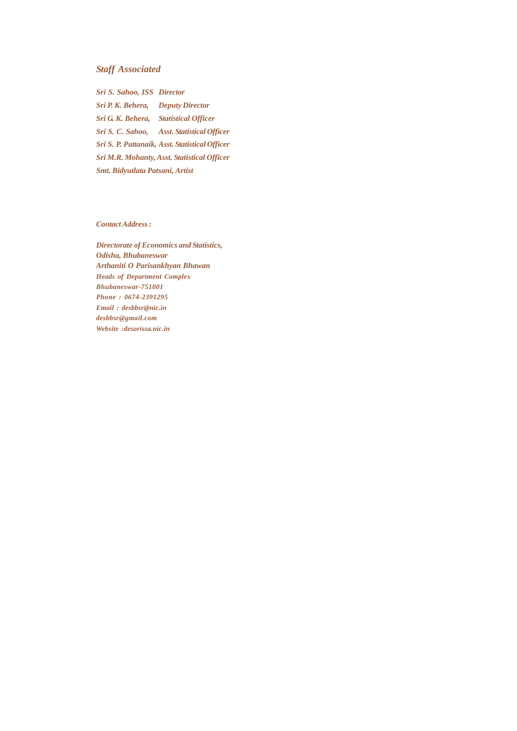### *Staff Associated*

*Sri S. Sahoo, ISS Director Sri P. K. Behera, Deputy Director Sri G. K. Behera, Statistical Officer Sri S. C. Sahoo, Asst. Statistical Officer Sri S. P. Pattanaik, Asst. Statistical Officer Sri M.R. Mohanty, Asst. Statistical Officer Smt. Bidyutlata Patsani, Artist*

*Contact Address :*

*Directorate of Economics and Statistics, Odisha, Bhubaneswar Arthaniti O Parisankhyan Bhawan Heads of Department Complex Bhubaneswar-751001 Phone : 0674-2391295 Email : desbbsr@nic.in desbbsr@gmail.com Website :desorissa.nic.in*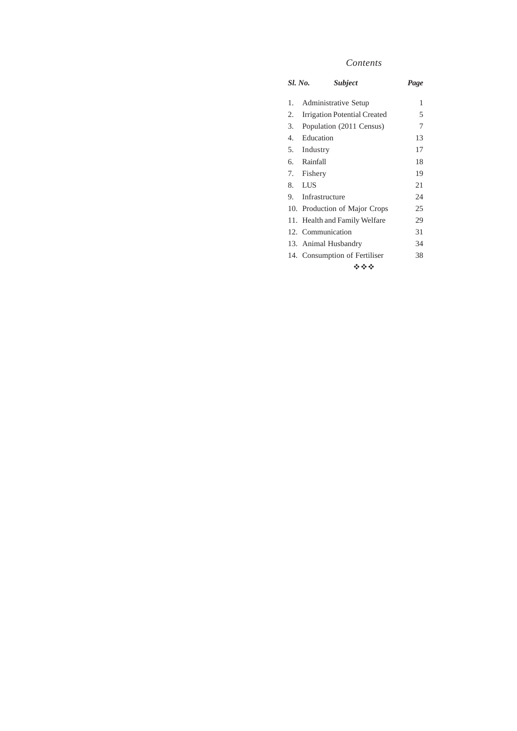## *Contents*

|    | <i>Sl. No.</i><br><b>Subject</b>  | Page |  |  |  |  |  |
|----|-----------------------------------|------|--|--|--|--|--|
| 1. | Administrative Setup              | 1    |  |  |  |  |  |
| 2. | Irrigation Potential Created<br>5 |      |  |  |  |  |  |
| 3. | Population (2011 Census)<br>7     |      |  |  |  |  |  |
| 4. | Education<br>13                   |      |  |  |  |  |  |
|    | 5. Industry                       | 17   |  |  |  |  |  |
|    | 6. Rainfall                       | 18   |  |  |  |  |  |
|    | 7. Fishery                        | 19   |  |  |  |  |  |
|    | 8. LUS                            | 21   |  |  |  |  |  |
|    | 9. Infrastructure                 | 24   |  |  |  |  |  |
|    | 10. Production of Major Crops     | 25   |  |  |  |  |  |
|    | 11. Health and Family Welfare     | 29   |  |  |  |  |  |
|    | 12. Communication                 | 31   |  |  |  |  |  |
|    | 13. Animal Husbandry              | 34   |  |  |  |  |  |
|    | 14. Consumption of Fertiliser     | 38   |  |  |  |  |  |
|    | ***                               |      |  |  |  |  |  |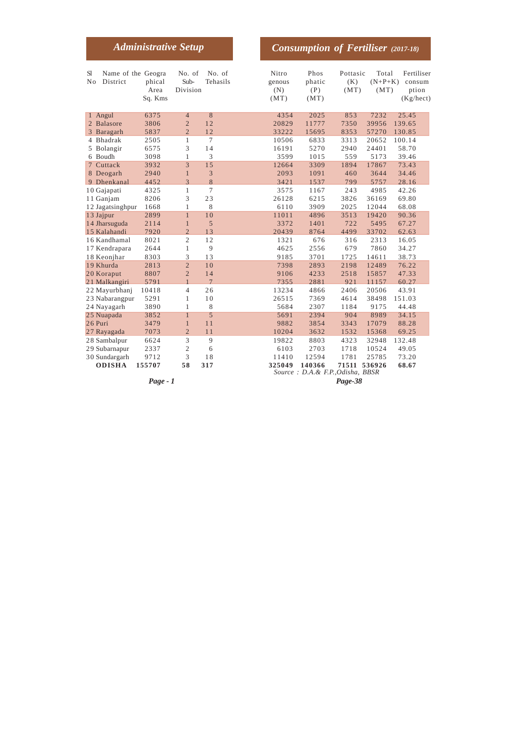|                                                   | <b>Administrative Setup</b> |                                                    |                    |                                | <b>Consumption of Fertiliser</b> (2017-18)  |                         |                            |                                            |
|---------------------------------------------------|-----------------------------|----------------------------------------------------|--------------------|--------------------------------|---------------------------------------------|-------------------------|----------------------------|--------------------------------------------|
| Name of the Geogra<br>S1<br>No<br>District        | phical<br>Area<br>Sq. Kms   | No. of<br>Sub-<br>Division                         | No. of<br>Tehasils | Nitro<br>genous<br>(N)<br>(MT) | Phos<br>phatic<br>(P)<br>(MT)               | Pottasic<br>(K)<br>(MT) | Total<br>$(N+P+K)$<br>(MT) | Fertiliser<br>consum<br>ption<br>(Kg/hect) |
| Angul<br>$\mathbf{1}$<br>2 Balasore<br>3 Baragarh | 6375<br>3806<br>5837        | $\overline{4}$<br>$\overline{2}$<br>$\overline{2}$ | 8<br>12<br>12      | 4354<br>20829<br>33222         | 2025<br>11777<br>15695                      | 853<br>7350<br>8353     | 7232<br>39956<br>57270     | 25.45<br>139.65<br>130.85                  |
| 4 Bhadrak                                         | 2505                        | 1                                                  | 7                  | 10506                          | 6833                                        | 3313                    | 20652                      | 100.14                                     |
| 5 Bolangir                                        | 6575                        | 3                                                  | 14                 | 16191                          | 5270                                        | 2940                    | 24401                      | 58.70                                      |
| 6 Boudh                                           | 3098                        | $\mathbf{1}$                                       | 3                  | 3599                           | 1015                                        | 559                     | 5173                       | 39.46                                      |
| 7 Cuttack                                         | 3932                        | 3                                                  | 15                 | 12664                          | 3309                                        | 1894                    | 17867                      | 73.43                                      |
| 8 Deogarh                                         | 2940                        | $\mathbf{1}$                                       | 3                  | 2093                           | 1091                                        | 460                     | 3644                       | 34.46                                      |
| 9 Dhenkanal                                       | 4452                        | 3                                                  | 8                  | 3421                           | 1537                                        | 799                     | 5757                       | 28.16                                      |
| 10 Gajapati                                       | 4325                        | $\mathbf{1}$                                       | 7                  | 3575                           | 1167                                        | 243                     | 4985                       | 42.26                                      |
| 11 Ganjam                                         | 8206                        | 3                                                  | 23                 | 26128                          | 6215                                        | 3826                    | 36169                      | 69.80                                      |
| 12 Jagatsinghpur                                  | 1668                        | $\mathbf{1}$                                       | 8                  | 6110                           | 3909                                        | 2025                    | 12044                      | 68.08                                      |
| 13 Jajpur                                         | 2899                        | $\mathbf{1}$                                       | 10                 | 11011                          | 4896                                        | 3513                    | 19420                      | 90.36                                      |
| 14 Jharsuguda                                     | 2114                        | $\mathbf{1}$                                       | 5                  | 3372                           | 1401                                        | 722                     | 5495                       | 67.27                                      |
| 15 Kalahandi                                      | 7920                        | $\overline{2}$                                     | 13                 | 20439                          | 8764                                        | 4499                    | 33702                      | 62.63                                      |
| 16 Kandhamal                                      | 8021                        | $\overline{2}$                                     | 12                 | 1321                           | 676                                         | 316                     | 2313                       | 16.05                                      |
| 17 Kendrapara                                     | 2644                        | 1                                                  | 9                  | 4625                           | 2556                                        | 679                     | 7860                       | 34.27                                      |
| 18 Keonjhar                                       | 8303                        | 3                                                  | 13                 | 9185                           | 3701                                        | 1725                    | 14611                      | 38.73                                      |
| 19 Khurda                                         | 2813                        | $\overline{2}$                                     | 10                 | 7398                           | 2893                                        | 2198                    | 12489                      | 76.22                                      |
| 20 Koraput                                        | 8807                        | $\overline{2}$                                     | 14                 | 9106                           | 4233                                        | 2518                    | 15857                      | 47.33                                      |
| 21 Malkangiri                                     | 5791                        | $\mathbf{1}$                                       | $\overline{7}$     | 7355                           | 2881                                        | 921                     | 11157                      | 60.27                                      |
| 22 Mayurbhanj                                     | 10418                       | 4                                                  | 26                 | 13234                          | 4866                                        | 2406                    | 20506                      | 43.91                                      |
| 23 Nabarangpur                                    | 5291                        | 1                                                  | 10                 | 26515                          | 7369                                        | 4614                    | 38498                      | 151.03                                     |
| 24 Nayagarh                                       | 3890                        | 1                                                  | 8                  | 5684                           | 2307                                        | 1184                    | 9175                       | 44.48                                      |
| 25 Nuapada                                        | 3852                        | $\mathbf{1}$                                       | 5                  | 5691                           | 2394                                        | 904                     | 8989                       | 34.15                                      |
| 26 Puri                                           | 3479                        | $\mathbf{1}$                                       | 11                 | 9882                           | 3854                                        | 3343                    | 17079                      | 88.28                                      |
| 27 Rayagada                                       | 7073                        | $\overline{2}$                                     | 11                 | 10204                          | 3632                                        | 1532                    | 15368                      | 69.25                                      |
| 28 Sambalpur                                      | 6624                        | 3                                                  | 9                  | 19822                          | 8803                                        | 4323                    | 32948                      | 132.48                                     |
| 29 Subarnapur                                     | 2337                        | $\mathfrak{2}$                                     | 6                  | 6103                           | 2703                                        | 1718                    | 10524                      | 49.05                                      |
| 30 Sundargarh                                     | 9712                        | 3                                                  | 18                 | 11410                          | 12594                                       | 1781                    | 25785                      | 73.20                                      |
| <b>ODISHA</b>                                     | 155707                      | 58                                                 | 317                | 325049                         | 140366<br>Source: D.A. & F.P., Odisha, BBSR | 71511                   | 536926                     | 68.67                                      |

*Page - 1 Page-38*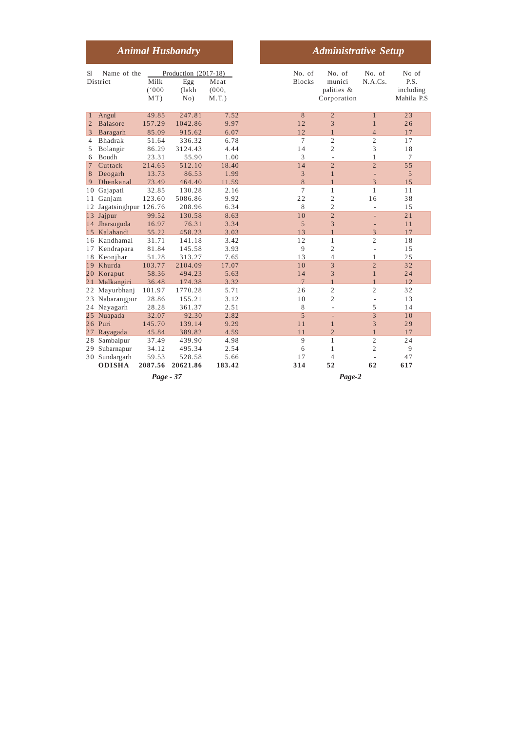|                 |                         |           | <b>Animal Husbandry</b> |            |                | <b>Administrative Setup</b> |                          |            |
|-----------------|-------------------------|-----------|-------------------------|------------|----------------|-----------------------------|--------------------------|------------|
| <b>S</b> l      | Name of the             |           | Production (2017-18)    |            | No. of         | No. of                      | No. of                   | No of      |
|                 | District                | Milk      | Egg                     | Meat       | <b>Blocks</b>  | munici                      | N.A.Cs.                  | P.S.       |
|                 |                         | (000)     | (lakh)                  | (000, 000) |                | palities &                  |                          | including  |
|                 |                         | MT)       | No)                     | $M.T.$ )   |                | Corporation                 |                          | Mahila P.S |
| $\mathbf{1}$    | Angul                   | 49.85     | 247.81                  | 7.52       | 8              | $\overline{2}$              | $\mathbf{1}$             | 23         |
| 2               | <b>Balasore</b>         | 157.29    | 1042.86                 | 9.97       | 12             | 3                           | $\mathbf{1}$             | 26         |
| 3               | Baragarh                | 85.09     | 915.62                  | 6.07       | 12             | $\mathbf{1}$                | $\overline{4}$           | 17         |
| 4               | Bhadrak                 | 51.64     | 336.32                  | 6.78       | 7              | $\overline{2}$              | $\overline{c}$           | 17         |
| 5               | Bolangir                | 86.29     | 3124.43                 | 4.44       | 14             | $\overline{2}$              | 3                        | 18         |
| 6               | <b>Boudh</b>            | 23.31     | 55.90                   | 1.00       | 3              | ÷,                          | 1                        | 7          |
| $\overline{7}$  | Cuttack                 | 214.65    | 512.10                  | 18.40      | 14             | $\overline{2}$              | $\overline{2}$           | 55         |
| 8               | Deogarh                 | 13.73     | 86.53                   | 1.99       | 3              | $\mathbf{1}$                | ÷,                       | 5          |
| 9               | Dhenkanal               | 73.49     | 464.40                  | 11.59      | 8              | $\mathbf{1}$                | $\overline{\mathcal{E}}$ | 1.5        |
| 10              | Gajapati                | 32.85     | 130.28                  | 2.16       | 7              | $\mathbf{1}$                | $\mathbf{1}$             | 11         |
| 11              | Ganjam                  | 123.60    | 5086.86                 | 9.92       | 22             | $\overline{2}$              | 16                       | 38         |
|                 | 12 Jagatsinghpur 126.76 |           | 208.96                  | 6.34       | 8              | $\overline{c}$              | L,                       | 15         |
|                 | 13 Jajpur               | 99.52     | 130.58                  | 8.63       | 10             | $\overline{2}$              | ÷,                       | 21         |
|                 | 14 Jharsuguda           | 16.97     | 76.31                   | 3.34       | 5              | 3                           | Ē,                       | 11         |
| 1.5             | Kalahandi               | 55.22     | 458.23                  | 3.03       | 13             | $\mathbf{1}$                | 3                        | 17         |
|                 | 16 Kandhamal            | 31.71     | 141.18                  | 3.42       | 12             | $\mathbf{1}$                | $\overline{c}$           | 18         |
| 17              | Kendrapara              | 81.84     | 145.58                  | 3.93       | 9              | $\overline{2}$              | L.                       | 15         |
|                 | 18 Keonjhar             | 51.28     | 313.27                  | 7.65       | 13             | $\overline{4}$              | 1                        | 25         |
|                 | 19 Khurda               | 103.77    | 2104.09                 | 17.07      | 10             | 3                           | $\overline{2}$           | 32         |
|                 | 20 Koraput              | 58.36     | 494.23                  | 5.63       | 14             | 3                           | $\mathbf{1}$             | 24         |
| 21              | Malkangiri              | 36.48     | 174.38                  | 3.32       | $\overline{7}$ | $\mathbf{1}$                | $\overline{1}$           | 12.        |
| 22              | Mayurbhanj              | 101.97    | 1770.28                 | 5.71       | 26             | $\mathfrak{2}$              | $\overline{2}$           | 32         |
| 23              | Nabarangpur             | 28.86     | 155.21                  | 3.12       | 10             | $\overline{2}$              | L,                       | 13         |
|                 | 24 Nayagarh             | 28.28     | 361.37                  | 2.51       | 8              | $\overline{a}$              | 5                        | 14         |
| 25 <sup>2</sup> | Nuapada                 | 32.07     | 92.30                   | 2.82       | 5              | L.                          | 3                        | 10         |
|                 | 26 Puri                 | 145.70    | 139.14                  | 9.29       | 11             | 1                           | 3                        | 29         |
| 27              | Rayagada                | 45.84     | 389.82                  | 4.59       | 11             | $\overline{2}$              | $\mathbf{1}$             | 17         |
| 28              | Sambalpur               | 37.49     | 439.90                  | 4.98       | 9              | $\mathbf{1}$                | $\overline{c}$           | 24         |
| 29              | Subarnapur              | 34.12     | 495.34                  | 2.54       | 6              | $\mathbf{1}$                | $\overline{c}$           | 9          |
| 30              | Sundargarh              | 59.53     | 528.58                  | 5.66       | 17             | $\overline{4}$              |                          | 47         |
|                 | <b>ODISHA</b>           | 2087.56   | 20621.86                | 183.42     | 314            | 52                          | 62                       | 617        |
|                 |                         | Page - 37 |                         |            |                | Page-2                      |                          |            |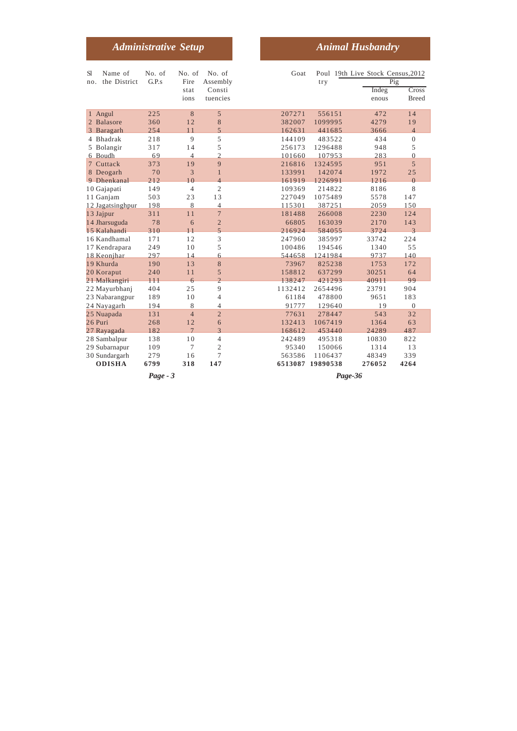|                                                 | <b>Administrative Setup</b> |                      |                                       |                            |                               | <b>Animal Husbandry</b>           |  |
|-------------------------------------------------|-----------------------------|----------------------|---------------------------------------|----------------------------|-------------------------------|-----------------------------------|--|
| Name of<br>S1                                   | No. of                      | No. of               | No. of                                | Goat                       |                               | Poul 19th Live Stock Census, 2012 |  |
| the District<br>no.                             | G.P.s                       | Fire<br>stat<br>ions | Assembly<br>Consti<br>tuencies        |                            | try                           | Pig<br>Indeg<br>enous             |  |
| 1 Angul                                         | 225                         | 8                    | 5                                     | 207271                     | 556151                        | 472                               |  |
| 2 Balasore                                      | 360                         | 12                   | 8                                     | 382007                     | 1099995                       | 4279                              |  |
| 3 Baragarh                                      | 254                         | 11                   | 5                                     | 162631                     | 441685                        | 3666                              |  |
| 4 Bhadrak                                       | 218                         | 9                    | 5                                     | 144109                     | 483522                        | 434                               |  |
| 5 Bolangir                                      | 317                         | 14                   | 5                                     | 256173                     | 1296488                       | 948                               |  |
| 6 Boudh                                         | 69                          | $\overline{4}$       | $\overline{2}$                        | 101660                     | 107953                        | 283                               |  |
| 7 Cuttack                                       | 373                         | 19                   | 9                                     | 216816                     | 1324595                       | 951                               |  |
| 8 Deogarh                                       | 70                          | 3                    | $\mathbf{1}$                          | 133991                     | 142074                        | 1972                              |  |
| 9 Dhenkanal                                     | 212                         | 10                   | $\overline{4}$                        | 161919                     | 1226991                       | 1216                              |  |
| 10 Gajapati                                     | 149                         | $\overline{4}$       | $\overline{2}$                        | 109369                     | 214822                        | 8186                              |  |
| 11 Ganjam                                       | 503                         | 23                   | 13                                    | 227049                     | 1075489                       | 5578                              |  |
| 12 Jagatsinghpur                                | 198                         | 8                    | $\overline{4}$                        | 115301                     | 387251                        | 2059                              |  |
| 13 Jajpur                                       | 311                         | 11                   | 7                                     | 181488                     | 266008                        | 2230                              |  |
| 14 Jharsuguda                                   | 78                          | 6                    | $\overline{2}$                        | 66805                      | 163039                        | 2170                              |  |
| 15 Kalahandi                                    | 310                         | 11                   | 5                                     | 216924                     | 584055                        | 3724                              |  |
| 16 Kandhamal                                    | 171                         | 12                   | 3                                     | 247960                     | 385997                        | 33742                             |  |
| 17 Kendrapara                                   | 249                         | 10                   | 5                                     | 100486                     | 194546                        | 1340                              |  |
| 18 Keonjhar                                     | 297                         | 14                   | 6                                     | 544658                     | 1241984                       | 9737                              |  |
| 19 Khurda                                       | 190                         | 13                   | 8                                     | 73967                      | 825238                        | 1753                              |  |
| 20 Koraput                                      | 240                         | 11                   | 5                                     | 158812                     | 637299                        | 30251                             |  |
| 21 Malkangiri                                   | 111                         | 6                    | $\overline{c}$                        | 138247                     | 421293                        | 40911                             |  |
| 22 Mayurbhanj                                   | 404                         | 25                   | 9                                     | 1132412                    | 2654496                       | 23791                             |  |
| 23 Nabarangpur                                  | 189                         | 10                   | 4                                     | 61184                      | 478800                        | 9651                              |  |
| 24 Nayagarh                                     | 194                         | 8                    | 4                                     | 91777                      | 129640                        | 19                                |  |
| 25 Nuapada                                      | 131                         | $\overline{4}$       | $\overline{2}$                        | 77631                      | 278447                        | 543                               |  |
| 26 Puri                                         | 268                         | 12                   | 6                                     | 132413                     | 1067419                       | 1364                              |  |
| 27 Rayagada<br>28 Sambalpur                     | 182<br>138                  | $\overline{7}$<br>10 | 3<br>$\overline{4}$<br>$\overline{c}$ | 168612<br>242489           | 453440<br>495318              | 24289<br>10830                    |  |
| 29 Subarnapur<br>30 Sundargarh<br><b>ODISHA</b> | 109<br>279<br>6799          | $\tau$<br>16<br>318  | 7<br>147                              | 95340<br>563586<br>6513087 | 150066<br>1106437<br>19890538 | 1314<br>48349<br>276052           |  |
|                                                 | $Page-3$                    |                      |                                       |                            | Page-36                       |                                   |  |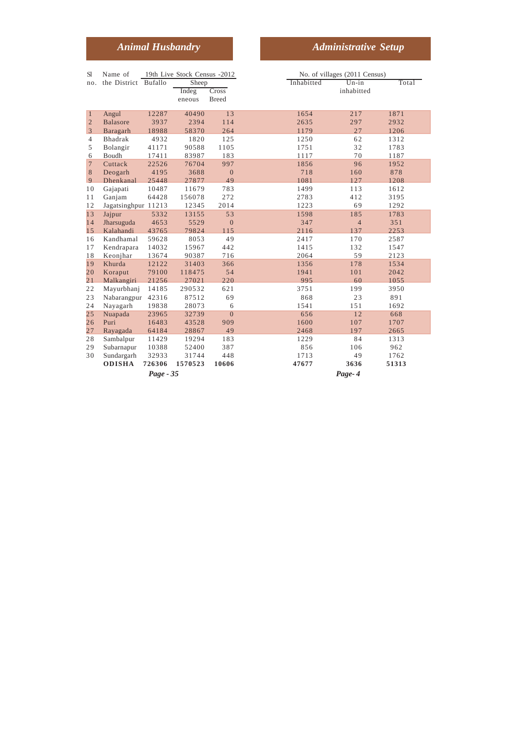# *Animal Husbandry* Administrative Setup

| <b>S</b> l     | Name of              |           | 19th Live Stock Census -2012 |                |            | No. of villages (2011 Census) |       |
|----------------|----------------------|-----------|------------------------------|----------------|------------|-------------------------------|-------|
| no.            | the District Bufallo |           | Sheep                        |                | Inhabitted | $Un-in$                       | Total |
|                |                      |           | Indeg                        | Cross          |            | inhabitted                    |       |
|                |                      |           | eneous                       | <b>Breed</b>   |            |                               |       |
| $\mathbf{1}$   | Angul                | 12287     | 40490                        | 13             | 1654       | 217                           | 1871  |
| $\overline{c}$ | <b>Balasore</b>      | 3937      | 2394                         | 114            | 2635       | 297                           | 2932  |
| $\overline{3}$ | Baragarh             | 18988     | 58370                        | 264            | 1179       | 27                            | 1206  |
| $\overline{4}$ | Bhadrak              | 4932      | 1820                         | 125            | 1250       | 62                            | 1312  |
| 5              | Bolangir             | 41171     | 90588                        | 1105           | 1751       | 32                            | 1783  |
| 6              | Boudh                | 17411     | 83987                        | 183            | 1117       | 70                            | 1187  |
| $\overline{7}$ | Cuttack              | 22526     | 76704                        | 997            | 1856       | 96                            | 1952  |
| 8              | Deogarh              | 4195      | 3688                         | $\mathbf{0}$   | 718        | 160                           | 878   |
| 9              | Dhenkanal            | 25448     | 27877                        | 49             | 1081       | 127                           | 1208  |
| 10             | Gajapati             | 10487     | 11679                        | 783            | 1499       | 113                           | 1612  |
| 11             | Ganjam               | 64428     | 156078                       | 272            | 2783       | 412                           | 3195  |
| 12             | Jagatsinghpur 11213  |           | 12345                        | 2014           | 1223       | 69                            | 1292  |
| 13             | Jajpur               | 5332      | 13155                        | 53             | 1598       | 185                           | 1783  |
| 14             | Jharsuguda           | 4653      | 5529                         | $\mathbf{0}$   | 347        | $\overline{4}$                | 351   |
| 15             | Kalahandi            | 43765     | 79824                        | 115            | 2116       | 137                           | 2253  |
| 16             | Kandhamal            | 59628     | 8053                         | 49             | 2417       | 170                           | 2587  |
| 17             | Kendrapara           | 14032     | 15967                        | 442            | 1415       | 132                           | 1547  |
| 18             | Keonjhar             | 13674     | 90387                        | 716            | 2064       | 59                            | 2123  |
| 19             | Khurda               | 12122     | 31403                        | 366            | 1356       | 178                           | 1534  |
| 20             | Koraput              | 79100     | 118475                       | 54             | 1941       | 101                           | 2042  |
| 21             | Malkangiri           | 21256     | 27021                        | 220            | 995        | 60                            | 1055  |
| 22             | Mayurbhanj           | 14185     | 290532                       | 621            | 3751       | 199                           | 3950  |
| 23             | Nabarangpur          | 42316     | 87512                        | 69             | 868        | 23                            | 891   |
| 24             | Nayagarh             | 19838     | 28073                        | 6              | 1541       | 151                           | 1692  |
| 25             | Nuapada              | 23965     | 32739                        | $\overline{0}$ | 656        | 12                            | 668   |
| 26             | Puri                 | 16483     | 43528                        | 909            | 1600       | 107                           | 1707  |
| 27             | Rayagada             | 64184     | 28867                        | 49             | 2468       | 197                           | 2665  |
| 28             | Sambalpur            | 11429     | 19294                        | 183            | 1229       | 84                            | 1313  |
| 29             | Subarnapur           | 10388     | 52400                        | 387            | 856        | 106                           | 962   |
| 30             | Sundargarh           | 32933     | 31744                        | 448            | 1713       | 49                            | 1762  |
|                | <b>ODISHA</b>        | 726306    | 1570523                      | 10606          | 47677      | 3636                          | 51313 |
|                |                      | Page - 35 |                              |                |            | Page-4                        |       |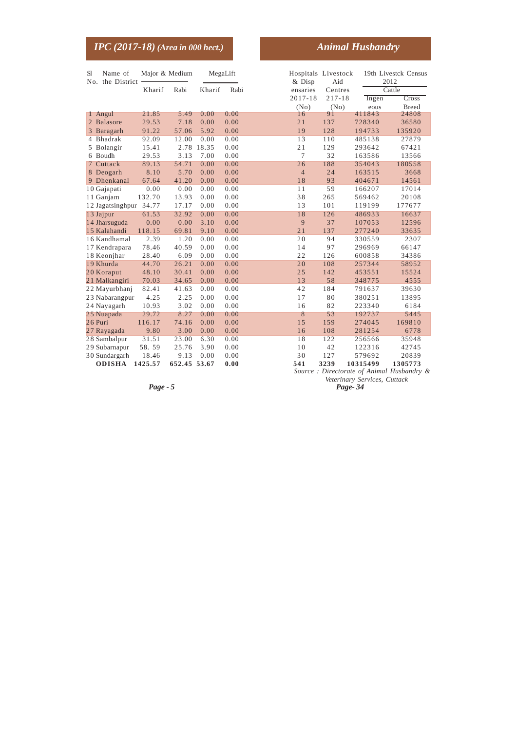| <u>IPC (2017-18) (Area in 000 hect.)</u>  |                |       |            |      |                                 |            | <b>Animal Husbandry</b> |                              |
|-------------------------------------------|----------------|-------|------------|------|---------------------------------|------------|-------------------------|------------------------------|
| <b>S</b> l<br>Name of<br>No. the District | Major & Medium |       | MegaLift   |      | Hospitals Livestock<br>$&$ Disp | Aid        |                         | 19th Livestck Census<br>2012 |
|                                           | Kharif         | Rabi  | Kharif     | Rabi | ensaries                        | Centres    |                         | Cattle                       |
|                                           |                |       |            |      | 2017-18                         | $217 - 18$ | Ingen                   | Cross                        |
|                                           |                |       |            |      | (No)                            | (No)       | eous                    | <b>Breed</b>                 |
| 1 Angul                                   | 21.85          | 5.49  | 0.00       | 0.00 | 16                              | 91         | 411843                  | 24808                        |
| 2 Balasore                                | 29.53          | 7.18  | 0.00       | 0.00 | 21                              | 137        | 728340                  | 36580                        |
| 3 Baragarh                                | 91.22          | 57.06 | 5.92       | 0.00 | 19                              | 128        | 194733                  | 135920                       |
| 4 Bhadrak                                 | 92.09          | 12.00 | 0.00       | 0.00 | 13                              | 110        | 485138                  | 27879                        |
| 5 Bolangir                                | 15.41          |       | 2.78 18.35 | 0.00 | 21                              | 129        | 293642                  | 67421                        |
| 6 Boudh                                   | 29.53          | 3.13  | 7.00       | 0.00 | 7                               | 32         | 163586                  | 13566                        |
| 7 Cuttack                                 | 89.13          | 54.71 | 0.00       | 0.00 | 26                              | 188        | 354043                  | 180558                       |
| 8 Deogarh                                 | 8.10           | 5.70  | 0.00       | 0.00 | $\overline{4}$                  | 24         | 163515                  | 3668                         |
| 9 Dhenkanal                               | 67.64          | 41.20 | 0.00       | 0.00 | 18                              | 93         | 404671                  | 14561                        |
| 10 Gajapati                               | 0.00           | 0.00  | 0.00       | 0.00 | 11                              | 59         | 166207                  | 17014                        |
| 11 Ganjam                                 | 132.70         | 13.93 | 0.00       | 0.00 | 38                              | 265        | 569462                  | 20108                        |
| 12 Jagatsinghpur 34.77                    |                | 17.17 | 0.00       | 0.00 | 13                              | 101        | 119199                  | 177677                       |
| 13 Jajpur                                 | 61.53          | 32.92 | 0.00       | 0.00 | 18                              | 126        | 486933                  | 16637                        |
| 14 Jharsuguda                             | 0.00           | 0.00  | 3.10       | 0.00 | 9                               | 37         | 107053                  | 12596                        |
| 15 Kalahandi                              | 118.15         | 69.81 | 9.10       | 0.00 | 21                              | 137        | 277240                  | 33635                        |
| 16 Kandhamal                              | 2.39           | 1.20  | 0.00       | 0.00 | 20                              | 94         | 330559                  | 2307                         |
| 17 Kendrapara                             | 78.46          | 40.59 | 0.00       | 0.00 | 14                              | 97         | 296969                  | 66147                        |
| 18 Keonjhar                               | 28.40          | 6.09  | 0.00       | 0.00 | 22                              | 126        | 600858                  | 34386                        |
| 19 Khurda                                 | 44.70          | 26.21 | 0.00       | 0.00 | 20                              | 108        | 257344                  | 58952                        |
| 20 Koraput                                | 48.10          | 30.41 | 0.00       | 0.00 | 25                              | 142        | 453551                  | 15524                        |
| 21 Malkangiri                             | 70.03          | 34.65 | 0.00       | 0.00 | 13                              | 58         | 348775                  | 4555                         |
| 22 Mayurbhanj                             | 82.41          | 41.63 | 0.00       | 0.00 | 42                              | 184        | 791637                  | 39630                        |
| 23 Nabarangpur                            | 4.25           | 2.25  | 0.00       | 0.00 | 17                              | 80         | 380251                  | 13895                        |
| 24 Nayagarh                               | 10.93          | 3.02  | 0.00       | 0.00 | 16                              | 82         | 223340                  | 6184                         |
| 25 Nuapada                                | 29.72          | 8.27  | 0.00       | 0.00 | 8                               | 53         | 192737                  | 5445                         |
| 26 Puri                                   | 116.17         | 74.16 | 0.00       | 0.00 | 15                              | 159        | 274045                  | 169810                       |
| 27 Rayagada                               | 9.80           | 3.00  | 0.00       | 0.00 | 16                              | 108        | 281254                  | 6778                         |
| 28 Sambalpur                              | 31.51          | 23.00 | 6.30       | 0.00 | 18                              | 122        | 256566                  | 35948                        |
| 29 Subarnapur                             | 58.59          | 25.76 | 3.90       | 0.00 | 10                              | 42         | 122316                  | 42745                        |

30 Sundargarh 18.46 9.13 0.00 0.00 30 127 579692 20839

**ODISHA 1425.57 652.45 53.67 0.00 541 3239 10315499 1305773** *Source : Directorate of Animal Husbandry & Veterinary Services, Cuttack*

*Page - 5 Page- 34*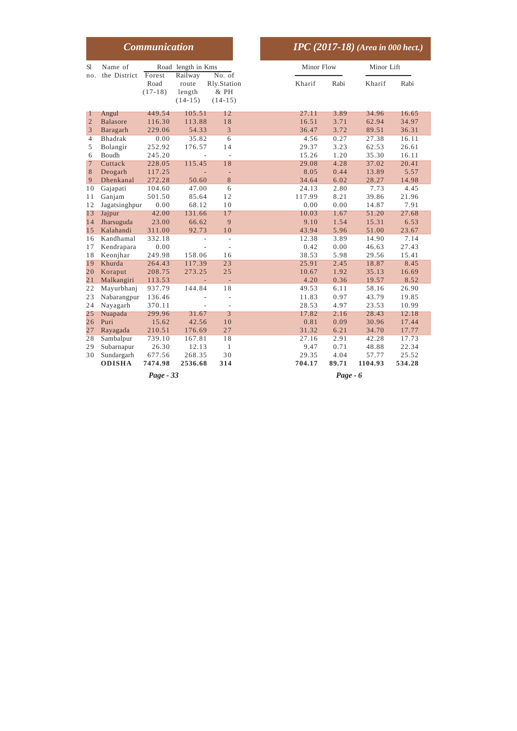|                          |                                       | <b>Communication</b>       |                               |                                       |                         |                      | $\overline{IPC}$ (2017-18) (Area in 000 hect.) |                         |
|--------------------------|---------------------------------------|----------------------------|-------------------------------|---------------------------------------|-------------------------|----------------------|------------------------------------------------|-------------------------|
| <b>S</b> l<br>no.        | Name of<br>the District               | Forest                     | Road length in Kms<br>Railway | No. of                                | Minor Flow              |                      | Minor Lift                                     |                         |
|                          |                                       | Road<br>$(17-18)$          | route<br>length<br>$(14-15)$  | Rly.Station<br>& PH<br>$(14-15)$      | Kharif                  | Rabi                 | Kharif                                         | Rabi                    |
| 1<br>$\overline{2}$<br>3 | Angul<br><b>Balasore</b><br>Baragarh  | 449.54<br>116.30<br>229.06 | 105.51<br>113.88<br>54.33     | 12<br>18<br>3                         | 27.11<br>16.51<br>36.47 | 3.89<br>3.71<br>3.72 | 34.96<br>62.94<br>89.51                        | 16.65<br>34.97<br>36.31 |
| $\overline{4}$<br>5<br>6 | Bhadrak<br>Bolangir<br><b>Boudh</b>   | 0.00<br>252.92<br>245.20   | 35.82<br>176.57               | $\overline{6}$<br>14<br>$\frac{1}{2}$ | 4.56<br>29.37<br>15.26  | 0.27<br>3.23<br>1.20 | 27.38<br>62.53<br>35.30                        | 16.11<br>26.61<br>16.11 |
| $\overline{7}$<br>8<br>9 | Cuttack<br>Deogarh<br>Dhenkanal       | 228.05<br>117.25<br>272.28 | 115.45<br>50.60               | 18<br>$\overline{\phantom{a}}$<br>8   | 29.08<br>8.05<br>34.64  | 4.28<br>0.44<br>6.02 | 37.02<br>13.89<br>28.27                        | 20.41<br>5.57<br>14.98  |
| 10<br>11<br>12           | Gajapati<br>Ganjam<br>Jagatsinghpur   | 104.60<br>501.50<br>0.00   | 47.00<br>85.64<br>68.12       | 6<br>12<br>10                         | 24.13<br>117.99<br>0.00 | 2.80<br>8.21<br>0.00 | 7.73<br>39.86<br>14.87                         | 4.45<br>21.96<br>7.91   |
| 13<br>14<br>15           | Jajpur<br>Jharsuguda<br>Kalahandi     | 42.00<br>23.00<br>311.00   | 131.66<br>66.62<br>92.73      | 17<br>9<br>10                         | 10.03<br>9.10<br>43.94  | 1.67<br>1.54<br>5.96 | 51.20<br>15.31<br>51.00                        | 27.68<br>6.53<br>23.67  |
| 16<br>17<br>18           | Kandhamal<br>Kendrapara<br>Keonjhar   | 332.18<br>0.00<br>249.98   | $\overline{a}$<br>158.06      | ÷,<br>$\overline{a}$<br>16            | 12.38<br>0.42<br>38.53  | 3.89<br>0.00<br>5.98 | 14.90<br>46.63<br>29.56                        | 7.14<br>27.43<br>15.41  |
| 19<br>20<br>21           | Khurda<br>Koraput<br>Malkangiri       | 264.43<br>208.75<br>113.53 | 117.39<br>273.25              | 23<br>25<br>L.                        | 25.91<br>10.67<br>4.20  | 2.45<br>1.92<br>0.36 | 18.87<br>35.13<br>19.57                        | 8.45<br>16.69<br>8.52   |
| 22<br>23<br>24           | Mayurbhanj<br>Nabarangpur<br>Nayagarh | 937.79<br>136.46<br>370.11 | 144.84                        | 18<br>L,<br>$\overline{a}$            | 49.53<br>11.83<br>28.53 | 6.11<br>0.97<br>4.97 | 58.16<br>43.79<br>23.53                        | 26.90<br>19.85<br>10.99 |
| 25<br>26<br>27           | Nuapada<br>Puri<br>Rayagada           | 299.96<br>15.62<br>210.51  | 31.67<br>42.56<br>176.69      | 3<br>10<br>27                         | 17.82<br>0.81<br>31.32  | 2.16<br>0.09<br>6.21 | 28.43<br>30.96<br>34.70                        | 12.18<br>17.44<br>17.77 |
| 28<br>29<br>30           | Sambalpur<br>Subarnapur<br>Sundargarh | 739.10<br>26.30<br>677.56  | 167.81<br>12.13<br>268.35     | 18<br>$\mathbf{1}$<br>30              | 27.16<br>9.47<br>29.35  | 2.91<br>0.71<br>4.04 | 42.28<br>48.88<br>57.77                        | 17.73<br>22.34<br>25.52 |
|                          | <b>ODISHA</b>                         | 7474.98<br>Page - 33       | 2536.68                       | 314                                   | 704.17                  | 89.71<br>Page - 6    | 1104.93                                        | 534.28                  |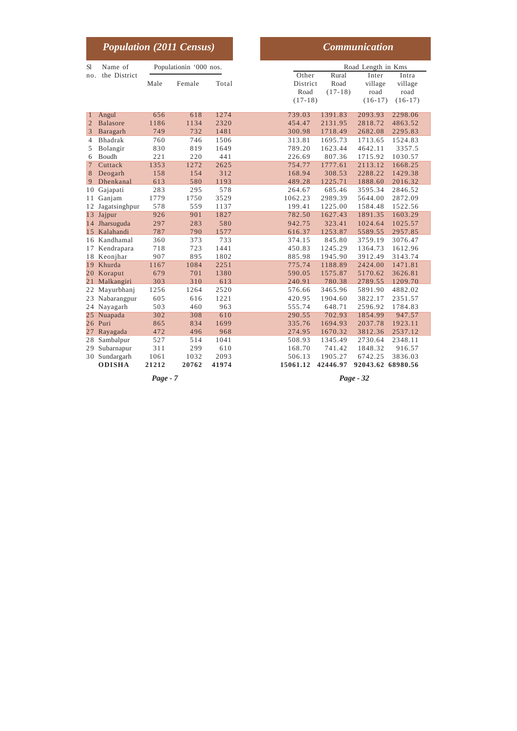|              | <b>Population (2011 Census)</b> |       |                        |       | <b>Communication</b>                                                                                                                                   |
|--------------|---------------------------------|-------|------------------------|-------|--------------------------------------------------------------------------------------------------------------------------------------------------------|
| S1           | Name of                         |       | Populationin '000 nos. |       | Road Length in Kms                                                                                                                                     |
| no.          | the District                    | Male  | Female                 | Total | Other<br>Rural<br>Inter<br>Intra<br>District<br>Road<br>village<br>village<br>Road<br>$(17-18)$<br>road<br>road<br>$(17-18)$<br>$(16-17)$<br>$(16-17)$ |
| $\mathbf{1}$ | Angul                           | 656   | 618                    | 1274  | 739.03<br>1391.83<br>2093.93<br>2298.06                                                                                                                |
| 2            | <b>Balasore</b>                 | 1186  | 1134                   | 2320  | 454.47<br>2131.95<br>2818.72<br>4863.52                                                                                                                |
| 3            | Baragarh                        | 749   | 732                    | 1481  | 300.98<br>1718.49<br>2682.08<br>2295.83                                                                                                                |
| 4            | <b>Bhadrak</b>                  | 760   | 746                    | 1506  | 313.81<br>1695.73<br>1713.65<br>1524.83                                                                                                                |
| 5            | Bolangir                        | 830   | 819                    | 1649  | 1623.44<br>789.20<br>4642.11<br>3357.5                                                                                                                 |
| 6            | Boudh                           | 221   | 220                    | 441   | 226.69<br>807.36<br>1715.92<br>1030.57                                                                                                                 |
| $\tau$       | Cuttack                         | 1353  | 1272                   | 2625  | 754.77<br>1777.61<br>2113.12<br>1668.25                                                                                                                |
| 8            | Deogarh                         | 158   | 154                    | 312   | 168.94<br>308.53<br>2288.22<br>1429.38                                                                                                                 |
| 9            | Dhenkanal                       | 613   | 580                    | 1193  | 489.28<br>1225.71<br>1888.60<br>2016.32                                                                                                                |
| 10           | Gajapati                        | 283   | 295                    | 578   | 264.67<br>685.46<br>3595.34<br>2846.52                                                                                                                 |
| 11           | Ganjam                          | 1779  | 1750                   | 3529  | 1062.23<br>2989.39<br>5644.00<br>2872.09                                                                                                               |
| 12           | Jagatsinghpur                   | 578   | 559                    | 1137  | 199.41<br>1225.00<br>1584.48<br>1522.56                                                                                                                |
| 13           | Jajpur                          | 926   | 901                    | 1827  | 782.50<br>1627.43<br>1891.35<br>1603.29                                                                                                                |
|              | 14 Jharsuguda                   | 297   | 283                    | 580   | 942.75<br>323.41<br>1024.64<br>1025.57                                                                                                                 |
|              | 15 Kalahandi                    | 787   | 790                    | 1577  | 1253.87<br>616.37<br>5589.55<br>2957.85                                                                                                                |
|              | 16 Kandhamal                    | 360   | 373                    | 733   | 845.80<br>3759.19<br>3076.47<br>374.15                                                                                                                 |
| 17           | Kendrapara                      | 718   | 723                    | 1441  | 450.83<br>1245.29<br>1364.73<br>1612.96                                                                                                                |
|              | 18 Keonjhar                     | 907   | 895                    | 1802  | 885.98<br>1945.90<br>3912.49<br>3143.74                                                                                                                |
|              | 19 Khurda                       | 1167  | 1084                   | 2251  | 775.74<br>1188.89<br>2424.00<br>1471.81                                                                                                                |
|              | 20 Koraput                      | 679   | 701                    | 1380  | 590.05<br>1575.87<br>5170.62<br>3626.81                                                                                                                |
| 21           | Malkangiri                      | 303   | 310                    | 613   | 240.91<br>780.38<br>2789.55<br>1209.70                                                                                                                 |
| 22           | Mayurbhanj                      | 1256  | 1264                   | 2520  | 576.66<br>3465.96<br>5891.90<br>4882.02                                                                                                                |
| 23           | Nabarangpur                     | 605   | 616                    | 1221  | 420.95<br>1904.60<br>3822.17<br>2351.57                                                                                                                |
|              | 24 Nayagarh                     | 503   | 460                    | 963   | 555.74<br>648.71<br>2596.92<br>1784.83                                                                                                                 |
|              | 25 Nuapada                      | 302   | 308                    | 610   | 702.93<br>1854.99<br>290.55<br>947.57                                                                                                                  |
|              | 26 Puri                         | 865   | 834                    | 1699  | 335.76<br>1694.93<br>2037.78<br>1923.11                                                                                                                |
| 27           | Rayagada                        | 472   | 496                    | 968   | 274.95<br>1670.32<br>3812.36<br>2537.12                                                                                                                |
| 28           | Sambalpur                       | 527   | 514                    | 1041  | 508.93<br>1345.49<br>2730.64<br>2348.11                                                                                                                |
| 29           | Subarnapur                      | 311   | 299                    | 610   | 168.70<br>1848.32<br>916.57<br>741.42                                                                                                                  |
| 30           | Sundargarh                      | 1061  | 1032                   | 2093  | 6742.25<br>3836.03<br>506.13<br>1905.27                                                                                                                |
|              | <b>ODISHA</b>                   | 21212 | 20762                  | 41974 | 15061.12<br>42446.97<br>92043.62<br>68980.56                                                                                                           |

*Page - 7 Page - 32*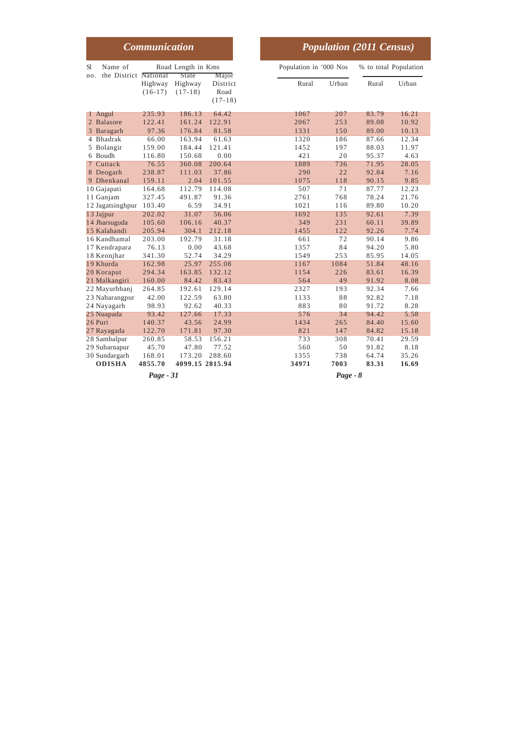|                                               | <b>Communication</b>             |                                    |                               |
|-----------------------------------------------|----------------------------------|------------------------------------|-------------------------------|
| Sl<br>Name of<br>the District National<br>no. |                                  | Road Length in Kms<br><b>State</b> | Major                         |
|                                               | Highway<br>$(16-17)$             | Highway<br>$(17-18)$               | District<br>Road<br>$(17-18)$ |
| 1 Angul                                       | 235.93                           | 186.13                             | 64.42                         |
| 2 Balasore                                    | 122.41                           | 161.24                             | 122.91                        |
| 3 Baragarh                                    | 97.36                            | 176.84                             | 81.58                         |
| 4 Bhadrak                                     | 66.00                            | 163.94                             | 61.63                         |
| 5 Bolangir                                    | 159.00                           | 184.44                             | 121.41                        |
| 6 Boudh                                       | 116.80                           | 150.68                             | 0.00                          |
| 7 Cuttack                                     | 76.55                            | 360.08                             | 200.64                        |
| 8 Deogarh                                     | 238.87                           | 111.03                             | 37.86                         |
| 9 Dhenkanal                                   | 159.11                           | 2.04                               | 101.55                        |
| 10 Gajapati                                   | 164.68                           | 112.79                             | 114.08                        |
| 11 Ganjam                                     | 327.45                           | 491.87                             | 91.36                         |
| 12 Jagatsinghpur                              | 103.40                           | 6.59                               | 34.91                         |
| 13 Jajpur                                     | 202.02                           | 31.07                              | 56.06                         |
| 14 Jharsuguda                                 | 105.60                           | 106.16                             | 40.37                         |
| 15 Kalahandi                                  | 205.94                           | 304.1                              | 212.18                        |
| 16 Kandhamal                                  | 203.00                           | 192.79                             | 31.18                         |
| 17 Kendrapara                                 | 76.13                            | 0.00                               | 43.68                         |
| 18 Keonjhar                                   | 341.30                           | 52.74                              | 34.29                         |
| 19 Khurda                                     | 162.98                           | 25.97                              | 255.08                        |
| 20 Koraput                                    | 294.34                           | 163.85                             | 132.12                        |
| 21 Malkangiri                                 | 160.00                           | 84.42                              | 83.43                         |
| 22 Mayurbhanj                                 | 264.85                           | 192.61                             | 129.14                        |
| 23 Nabarangpur                                | 42.00                            | 122.59                             | 63.80                         |
| 24 Nayagarh                                   | 98.93                            | 92.62                              | 40.33                         |
| 25 Nuapada                                    | 93.42                            | 127.66                             | 17.33                         |
| 26 Puri                                       | 140.37                           | 43.56                              | 24.99                         |
| 27 Rayagada                                   | 122.70                           | 171.81                             | 97.30                         |
| 28 Sambalpur                                  | 260.85                           | 58.53                              | 156.21                        |
| 29 Subarnapur                                 | 45.70                            | 47.80                              | 77.52                         |
| 30 Sundargarh<br><b>ODISHA</b>                | 168.01<br>4855.70<br>$Page - 31$ | 173.20<br>4099.15 2815.94          | 288.60                        |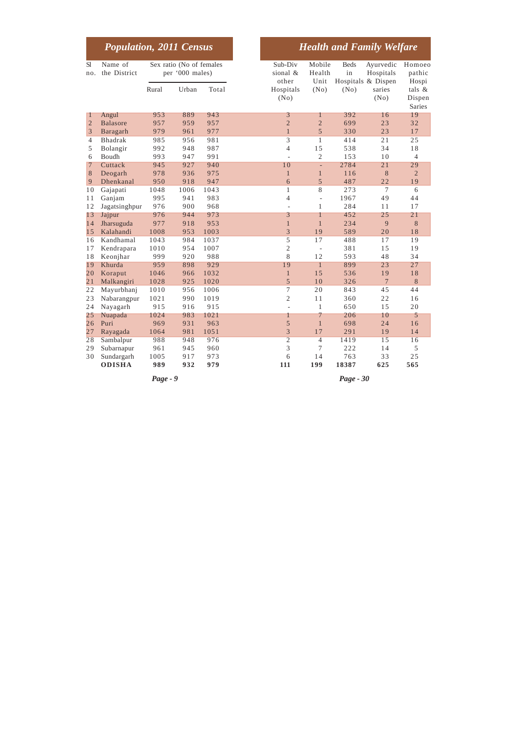|                     | <b>Population, 2011 Census</b> |             |                                             |            |
|---------------------|--------------------------------|-------------|---------------------------------------------|------------|
| <b>S</b> l<br>no.   | Name of<br>the District        |             | Sex ratio (No of females<br>per '000 males) |            |
|                     |                                | Rural       | Urban                                       | Total      |
| T                   | Angul                          | 953         | 889                                         | 943        |
| $\overline{2}$<br>3 | <b>Balasore</b>                | 957         | 959                                         | 957        |
| $\overline{4}$      | Baragarh                       | 979         | 961                                         | 977        |
|                     | <b>Bhadrak</b>                 | 985         | 956                                         | 981        |
| 5                   | Bolangir                       | 992         | 948                                         | 987        |
| 6                   | Boudh                          | 993         | 947                                         | 991        |
| 7                   | Cuttack                        | 945         | 927                                         | 940        |
| 8<br>9              | Deogarh                        | 978         | 936                                         | 975        |
|                     | Dhenkanal                      | 950         | 918                                         | 947        |
| 10                  | Gajapati                       | 1048<br>995 | 1006                                        | 1043       |
| 11                  | Ganjam                         | 976         | 941<br>900                                  | 983<br>968 |
| 12                  | Jagatsinghpur                  | 976         | 944                                         | 973        |
| 13<br>14            | Jajpur<br>Jharsuguda           | 977         | 918                                         | 953        |
| 15                  | Kalahandi                      | 1008        | 953                                         | 1003       |
| 16                  | Kandhamal                      | 1043        | 984                                         | 1037       |
| 17                  | Kendrapara                     | 1010        | 954                                         | 1007       |
| 18                  | Keonjhar                       | 999         | 920                                         | 988        |
| 19                  | Khurda                         | 959         | 898                                         | 929        |
| 20                  | Koraput                        | 1046        | 966                                         | 1032       |
| $\overline{21}$     | Malkangiri                     | 1028        | 925                                         | 1020       |
| 22                  | Mayurbhanj                     | 1010        | 956                                         | 1006       |
| 23                  | Nabarangpur                    | 1021        | 990                                         | 1019       |
| 24                  | Nayagarh                       | 915         | 916                                         | 915        |
| 25                  | Nuapada                        | 1024        | 983                                         | 1021       |
| 26                  | Puri                           | 969         | 931                                         | 963        |
| 27                  | Rayagada                       | 1064        | 981                                         | 1051       |
| $\overline{28}$     | Sambalpur                      | 988         | 948                                         | 976        |
| 29                  | Subarnapur                     | 961         | 945                                         | 960        |
| 30                  | Sundargarh                     | 1005        | 917                                         | 973        |
|                     | <b>ODISHA</b>                  | 989         | 932                                         | 979        |

*Page - 9 Page - 30*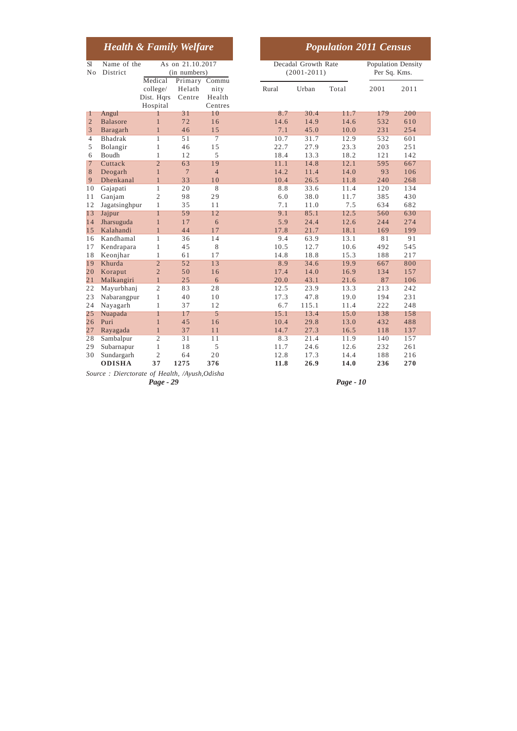|                 | <b>Health &amp; Family Welfare</b> |                                    |                                                   |                           |  |       |                                        | <b>Population 2011 Census</b> |                                           |      |
|-----------------|------------------------------------|------------------------------------|---------------------------------------------------|---------------------------|--|-------|----------------------------------------|-------------------------------|-------------------------------------------|------|
| S1<br>No        | Name of the<br>District            | Medical                            | As on 21.10.2017<br>(in numbers)<br>Primary Commu |                           |  |       | Decadal Growth Rate<br>$(2001 - 2011)$ |                               | <b>Population Density</b><br>Per Sq. Kms. |      |
|                 |                                    | college/<br>Dist. Hars<br>Hospital | Helath<br>Centre                                  | nity<br>Health<br>Centres |  | Rural | Urban                                  | Total                         | 2001                                      | 2011 |
| 1               | Angul                              | П                                  | 31                                                | 10                        |  | 8.7   | 30.4                                   | 11.7                          | 179                                       | 200  |
| $\overline{2}$  | <b>Balasore</b>                    | $\mathbf{1}$                       | 72                                                | 16                        |  | 14.6  | 14.9                                   | 14.6                          | 532                                       | 610  |
| 3               | Baragarh                           | $\mathbf{1}$                       | 46                                                | 15                        |  | 7.1   | 45.0                                   | 10.0                          | 231                                       | 254  |
| $\overline{4}$  | <b>Bhadrak</b>                     | 1                                  | 51                                                | 7                         |  | 10.7  | 31.7                                   | 12.9                          | 532                                       | 601  |
| 5               | Bolangir                           | $\mathbf{1}$                       | 46                                                | 15                        |  | 22.7  | 27.9                                   | 23.3                          | 203                                       | 251  |
| 6               | Boudh                              | $\mathbf{1}$                       | 12                                                | 5                         |  | 18.4  | 13.3                                   | 18.2                          | 121                                       | 142  |
| 7               | Cuttack                            | $\overline{2}$                     | 63                                                | 19                        |  | 11.1  | 14.8                                   | 12.1                          | 595                                       | 667  |
| 8               | Deogarh                            | $\mathbf{1}$                       | $\overline{7}$                                    | $\overline{4}$            |  | 14.2  | 11.4                                   | 14.0                          | 93                                        | 106  |
| 9               | Dhenkanal                          | $\mathbf{1}$                       | 33                                                | 10                        |  | 10.4  | 26.5                                   | 11.8                          | 240                                       | 268  |
| 10              | Gajapati                           | $\mathbf{1}$                       | 20                                                | 8                         |  | 8.8   | 33.6                                   | 11.4                          | 120                                       | 134  |
| 11              | Ganjam                             | $\overline{2}$                     | 98                                                | 29                        |  | 6.0   | 38.0                                   | 11.7                          | 385                                       | 430  |
| 12              | Jagatsinghpur                      | 1                                  | 35                                                | 11                        |  | 7.1   | 11.0                                   | 7.5                           | 634                                       | 682  |
| 13              | Jajpur                             | $\mathbf{1}$                       | 59                                                | 12                        |  | 9.1   | 85.1                                   | 12.5                          | 560                                       | 630  |
| 14              | Jharsuguda                         | $\mathbf{1}$                       | 17                                                | 6                         |  | 5.9   | 24.4                                   | 12.6                          | 244                                       | 274  |
| 15              | Kalahandi                          | $\mathbf{1}$                       | 44                                                | 17                        |  | 17.8  | 21.7                                   | 18.1                          | 169                                       | 199  |
| 16              | Kandhamal                          | 1                                  | 36                                                | 14                        |  | 9.4   | 63.9                                   | 13.1                          | 81                                        | 91   |
| 17              | Kendrapara                         | 1                                  | 45                                                | 8                         |  | 10.5  | 12.7                                   | 10.6                          | 492                                       | 545  |
| 18              | Keonjhar                           | $\mathbf{1}$                       | 61                                                | 17                        |  | 14.8  | 18.8                                   | 15.3                          | 188                                       | 217  |
| 19              | Khurda                             | $\overline{2}$                     | 52                                                | 13                        |  | 8.9   | 34.6                                   | 19.9                          | 667                                       | 800  |
| 20              | Koraput                            | $\overline{2}$                     | 50                                                | 16                        |  | 17.4  | 14.0                                   | 16.9                          | 134                                       | 157  |
| $\overline{21}$ | Malkangiri                         | $\mathbf{1}$                       | 25                                                | 6                         |  | 20.0  | 43.1                                   | 21.6                          | 87                                        | 106  |
| 22              | Mayurbhanj                         | $\overline{c}$                     | 83                                                | 28                        |  | 12.5  | 23.9                                   | 13.3                          | 213                                       | 242  |
| 23              | Nabarangpur                        | $\mathbf{1}$                       | 40                                                | 10                        |  | 17.3  | 47.8                                   | 19.0                          | 194                                       | 231  |
| 24              | Nayagarh                           | $\mathbf{1}$                       | 37                                                | 12                        |  | 6.7   | 115.1                                  | 11.4                          | 222                                       | 248  |
| 25              | Nuapada                            | 1                                  | 17                                                | 5                         |  | 15.1  | 13.4                                   | 15.0                          | 138                                       | 158  |
| 26              | Puri                               | $\mathbf{1}$                       | 45                                                | 16                        |  | 10.4  | 29.8                                   | 13.0                          | 432                                       | 488  |
| 27              | Rayagada                           | $\mathbf{1}$                       | 37                                                | 11                        |  | 14.7  | 27.3                                   | 16.5                          | 118                                       | 137  |
| 28              | Sambalpur                          | $\overline{2}$                     | 31                                                | 11                        |  | 8.3   | 21.4                                   | 11.9                          | 140                                       | 157  |
| 29              | Subarnapur                         | $\mathbf{1}$                       | 18                                                | 5                         |  | 11.7  | 24.6                                   | 12.6                          | 232                                       | 261  |
| 30              | Sundargarh                         | $\overline{c}$                     | 64                                                | 20                        |  | 12.8  | 17.3                                   | 14.4                          | 188                                       | 216  |
|                 | <b>ODISHA</b>                      | 37                                 | 1275                                              | 376                       |  | 11.8  | 26.9                                   | 14.0                          | 236                                       | 270  |

*Page - 29 Page - 10 Source : Dierctorate of Health, /Ayush,Odisha*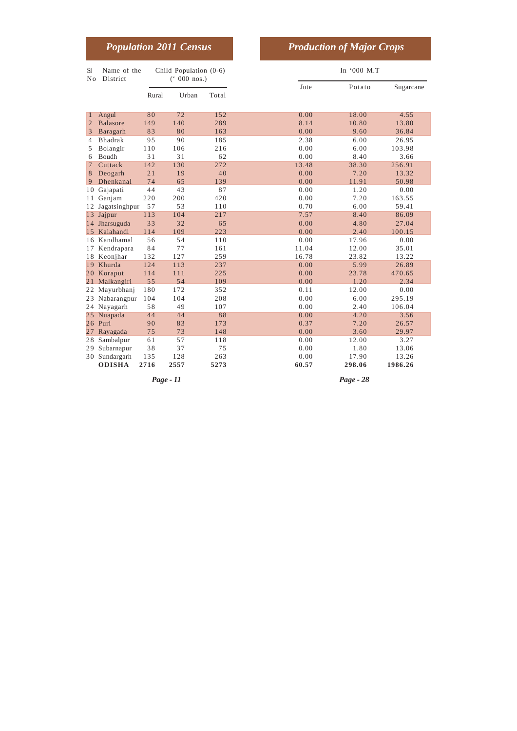| <b>Population 2011 Census</b> |  | <b>Production of Major Crops</b> |
|-------------------------------|--|----------------------------------|
|-------------------------------|--|----------------------------------|

| <b>Sl</b><br>No | Name of the<br>District |       | Child Population (0-6)<br>$(000 \text{ nos.})$ |       | In '000 M.T |        |           |  |
|-----------------|-------------------------|-------|------------------------------------------------|-------|-------------|--------|-----------|--|
|                 |                         | Rural | Urban                                          | Total | Jute        | Potato | Sugarcane |  |
| 1               | Angul                   | 80    | 72                                             | 152   | 0.00        | 18.00  | 4.55      |  |
| $\overline{2}$  | <b>Balasore</b>         | 149   | 140                                            | 289   | 8.14        | 10.80  | 13.80     |  |
| 3               | Baragarh                | 83    | 80                                             | 163   | 0.00        | 9.60   | 36.84     |  |
| 4               | Bhadrak                 | 95    | 90                                             | 185   | 2.38        | 6.00   | 26.95     |  |
| 5               | Bolangir                | 110   | 106                                            | 216   | 0.00        | 6.00   | 103.98    |  |
| 6               | Boudh                   | 31    | 31                                             | 62    | 0.00        | 8.40   | 3.66      |  |
| 7               | Cuttack                 | 142   | 130                                            | 272   | 13.48       | 38.30  | 256.91    |  |
| 8               | Deogarh                 | 21    | 19                                             | 40    | 0.00        | 7.20   | 13.32     |  |
| 9               | Dhenkanal               | 74    | 65                                             | 139   | 0.00        | 11.91  | 50.98     |  |
| 10              | Gajapati                | 44    | 43                                             | 87    | 0.00        | 1.20   | 0.00      |  |
| 11              | Ganjam                  | 220   | 200                                            | 420   | 0.00        | 7.20   | 163.55    |  |
| 12              | Jagatsinghpur           | 57    | 53                                             | 110   | 0.70        | 6.00   | 59.41     |  |
| 13              | Jajpur                  | 113   | 104                                            | 217   | 7.57        | 8.40   | 86.09     |  |
| 14              | Jharsuguda              | 33    | 32                                             | 65    | 0.00        | 4.80   | 27.04     |  |
| 15              | Kalahandi               | 114   | 109                                            | 223   | 0.00        | 2.40   | 100.15    |  |
| 16              | Kandhamal               | 56    | 54                                             | 110   | 0.00        | 17.96  | 0.00      |  |
| 17              | Kendrapara              | 84    | 77                                             | 161   | 11.04       | 12.00  | 35.01     |  |
| 18              | Keonjhar                | 132   | 127                                            | 259   | 16.78       | 23.82  | 13.22     |  |
| 19              | Khurda                  | 124   | 113                                            | 237   | 0.00        | 5.99   | 26.89     |  |
|                 | 20 Koraput              | 114   | 111                                            | 225   | 0.00        | 23.78  | 470.65    |  |
| 21              | Malkangiri              | 55    | 54                                             | 109   | 0.00        | 1.20   | 2.34      |  |
| 22              | Mayurbhanj              | 180   | 172                                            | 352   | 0.11        | 12.00  | 0.00      |  |
| 23              | Nabarangpur             | 104   | 104                                            | 208   | 0.00        | 6.00   | 295.19    |  |
| 24              | Nayagarh                | 58    | 49                                             | 107   | 0.00        | 2.40   | 106.04    |  |
| 25              | Nuapada                 | 44    | 44                                             | 88    | 0.00        | 4.20   | 3.56      |  |
| 26              | Puri                    | 90    | 83                                             | 173   | 0.37        | 7.20   | 26.57     |  |
| 27              | Rayagada                | 75    | 73                                             | 148   | 0.00        | 3.60   | 29.97     |  |
| 28              | Sambalpur               | 61    | 57                                             | 118   | 0.00        | 12.00  | 3.27      |  |
| 29              | Subarnapur              | 38    | 37                                             | 75    | 0.00        | 1.80   | 13.06     |  |
|                 | 30 Sundargarh           | 135   | 128                                            | 263   | 0.00        | 17.90  | 13.26     |  |
|                 | <b>ODISHA</b>           | 2716  | 2557                                           | 5273  | 60.57       | 298.06 | 1986.26   |  |

*Page - 11 Page - 28*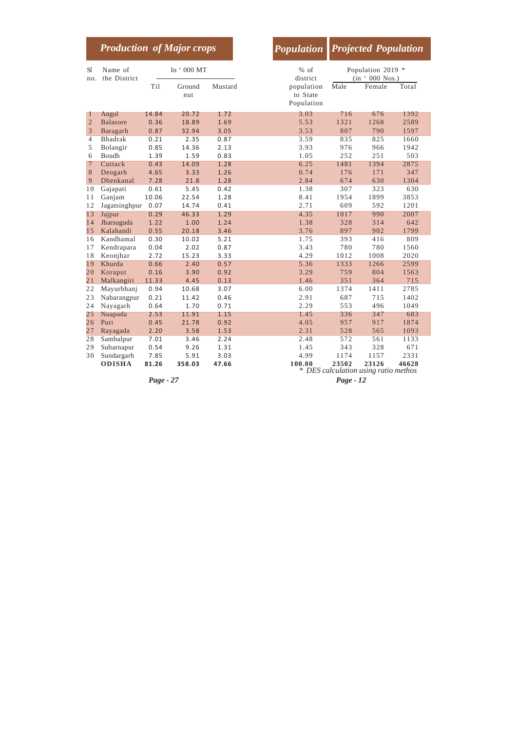|                |                         |            | <b>Production of Major crops</b> |         | <b>Population</b>                    |       | <b>Projected Population</b>                   |       |  |
|----------------|-------------------------|------------|----------------------------------|---------|--------------------------------------|-------|-----------------------------------------------|-------|--|
| S1<br>no.      | Name of<br>the District | In '000 MT |                                  |         | $%$ of<br>district                   |       | Population 2019 *<br>(in ' 000 Nos.)          |       |  |
|                |                         | Ti1        | Ground<br>nut                    | Mustard | population<br>to State<br>Population | Male  | Female                                        | Total |  |
| 1              | Angul                   | 14.84      | 20.72                            | 1.72    | 3.03                                 | 716   | 676                                           | 1392  |  |
| $\overline{2}$ | <b>Balasore</b>         | 0.36       | 18.89                            | 1.69    | 5.53                                 | 1321  | 1268                                          | 2589  |  |
| 3              | Baragarh                | 0.87       | 32.94                            | 3.05    | 3.53                                 | 807   | 790                                           | 1597  |  |
| 4              | Bhadrak                 | 0.21       | 2.35                             | 0.87    | 3.59                                 | 835   | 825                                           | 1660  |  |
| 5              | Bolangir                | 0.85       | 14.36                            | 2.13    | 3.93                                 | 976   | 966                                           | 1942  |  |
| 6              | <b>Boudh</b>            | 1.39       | 1.59                             | 0.83    | 1.05                                 | 252   | 251                                           | 503   |  |
| $\overline{7}$ | Cuttack                 | 0.43       | 14.09                            | 1.28    | 6.25                                 | 1481  | 1394                                          | 2875  |  |
| 8              | Deogarh                 | 4.65       | 3.33                             | 1.26    | 0.74                                 | 176   | 171                                           | 347   |  |
| 9              | Dhenkanal               | 7.28       | 21.8                             | 1.28    | 2.84                                 | 674   | 630                                           | 1304  |  |
| 10             | Gajapati                | 0.61       | 5.45                             | 0.42    | 1.38                                 | 307   | 323                                           | 630   |  |
| 11             | Ganjam                  | 10.06      | 22.54                            | 1.28    | 8.41                                 | 1954  | 1899                                          | 3853  |  |
| 12             | Jagatsinghpur           | 0.07       | 14.74                            | 0.41    | 2.71                                 | 609   | 592                                           | 1201  |  |
| 13             | Jajpur                  | 0.29       | 46.33                            | 1.29    | 4.35                                 | 1017  | 990                                           | 2007  |  |
| 14             | Jharsuguda              | 1.22       | 1.00                             | 1.24    | 1.38                                 | 328   | 314                                           | 642   |  |
| 15             | Kalahandi               | 0.55       | 20.18                            | 3.46    | 3.76                                 | 897   | 902                                           | 1799  |  |
| 16             | Kandhamal               | 0.30       | 10.02                            | 5.21    | 1.75                                 | 393   | 416                                           | 809   |  |
| 17             | Kendrapara              | 0.04       | 2.02                             | 0.87    | 3.43                                 | 780   | 780                                           | 1560  |  |
| 18             | Keonjhar                | 2.72       | 15.23                            | 3.33    | 4.29                                 | 1012  | 1008                                          | 2020  |  |
| 19             | Khurda                  | 0.66       | 2.40                             | 0.57    | 5.36                                 | 1333  | 1266                                          | 2599  |  |
| 20             | Koraput                 | 0.16       | 3.90                             | 0.92    | 3.29                                 | 759   | 804                                           | 1563  |  |
| 21             | Malkangiri              | 11.33      | 4.45                             | 0.13    | 1.46                                 | 351   | 364                                           | 715   |  |
| 22             | Mayurbhanj              | 0.94       | 10.68                            | 3.07    | 6.00                                 | 1374  | 1411                                          | 2785  |  |
| 23             | Nabarangpur             | 0.21       | 11.42                            | 0.46    | 2.91                                 | 687   | 715                                           | 1402  |  |
| 24             | Nayagarh                | 0.64       | 1.70                             | 0.71    | 2.29                                 | 553   | 496                                           | 1049  |  |
| 25             | Nuapada                 | 2.53       | 11.91                            | 1.15    | 1.45                                 | 336   | 347                                           | 683   |  |
| 26             | Puri                    | 0.45       | 21.78                            | 0.92    | 4.05                                 | 957   | 917                                           | 1874  |  |
| 27             | Rayagada                | 2.20       | 3.58                             | 1.53    | 2.31                                 | 528   | 565                                           | 1093  |  |
| 28             | Sambalpur               | 7.01       | 3.46                             | 2.24    | 2.48                                 | 572   | 561                                           | 1133  |  |
| 29             | Subarnapur              | 0.54       | 9.26                             | 1.31    | 1.45                                 | 343   | 328                                           | 671   |  |
| 30             | Sundargarh              | 7.85       | 5.91                             | 3.03    | 4.99                                 | 1174  | 1157                                          | 2331  |  |
|                | <b>ODISHA</b>           | 81.26      | 358.03                           | 47.66   | 100.00                               | 23502 | 23126<br>* DES calculation using ratio methos | 46628 |  |

T I

*Page - 27 Page - 12*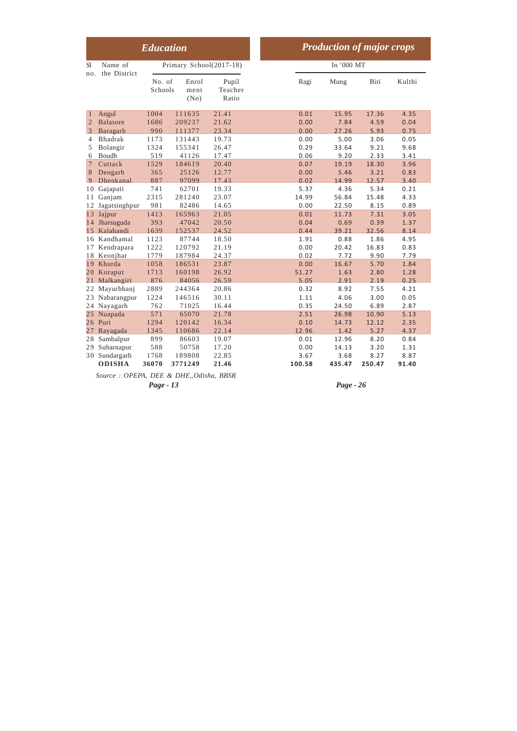|                                                                             | <b>Education</b>            |                                     |                                  |  |                                | <b>Production of major crops</b> |                                |                               |
|-----------------------------------------------------------------------------|-----------------------------|-------------------------------------|----------------------------------|--|--------------------------------|----------------------------------|--------------------------------|-------------------------------|
| S1<br>Name of                                                               |                             | Primary School(2017-18)             | In '000 MT                       |  |                                |                                  |                                |                               |
| the District<br>no.                                                         | No. of<br>Schools           | Enrol<br>ment<br>(No)               | Pupil<br>Teacher<br>Ratio        |  | Ragi                           | Mung                             | Biri                           | Kulthi                        |
| Angul<br>$\mathbf{1}$<br><b>Balasore</b><br>$\overline{2}$<br>3<br>Baragarh | 1004<br>1686<br>990         | 111635<br>209237<br>111377          | 21.41<br>21.62<br>23.34          |  | 0.01<br>0.00<br>0.00           | 15.95<br>7.84<br>27.26           | 17.36<br>4.59<br>5.93          | 4.35<br>0.04<br>0.75          |
| <b>Bhadrak</b><br>4<br>Bolangir<br>5<br>Boudh<br>6                          | 1173<br>1324<br>519         | 131443<br>155341<br>41126           | 19.73<br>26.47<br>17.47          |  | 0.00<br>0.29<br>0.06           | 5.00<br>33.64<br>9.20            | 3.06<br>9.21<br>2.33           | 0.05<br>9.68<br>3.41          |
| Cuttack<br>$\overline{7}$<br>Deogarh<br>8<br>Dhenkanal<br>9                 | 1529<br>365<br>887          | 184619<br>25126<br>97099            | 20.40<br>12.77<br>17.43          |  | 0.07<br>0.00<br>0.02           | 19.19<br>5.46<br>14.99           | 18.30<br>3.21<br>12.57         | 3.96<br>0.83<br>3.40          |
| Gajapati<br>10<br>Ganjam<br>11<br>Jagatsinghpur<br>12                       | 741<br>2315<br>981          | 62701<br>281240<br>82486            | 19.33<br>23.07<br>14.65          |  | 5.37<br>14.99<br>0.00          | 4.36<br>56.84<br>22.50           | 5.34<br>15.48<br>8.15          | 0.21<br>4.33<br>0.89          |
| Jajpur<br>13<br>Jharsuguda<br>14<br>Kalahandi<br>1.5                        | 1413<br>393<br>1639         | 165963<br>47042<br>152537           | 21.05<br>20.50<br>24.52          |  | 0.01<br>0.04<br>0.44           | 11.73<br>0.69<br>39.21           | 7.31<br>0.39<br>32.56          | 3.05<br>1.37<br>8.14          |
| 16 Kandhamal<br>Kendrapara<br>17<br>Keonjhar<br>18                          | 1123<br>1222<br>1779        | 87744<br>120792<br>187984           | 18.50<br>21.19<br>24.37          |  | 1.91<br>0.00<br>0.02           | 0.88<br>20.42<br>7.72            | 1.86<br>16.83<br>9.90          | 4.95<br>0.83<br>7.79          |
| Khurda<br>19<br>20<br>Koraput<br>Malkangiri<br>21                           | 1058<br>1713<br>876         | 186531<br>160198<br>84056           | 23.87<br>26.92<br>26.59          |  | 0.00<br>51.27<br>5.05          | 16.67<br>1.63<br>2.91            | 5.70<br>2.80<br>2.19           | 1.84<br>1.28<br>0.25          |
| Mayurbhanj<br>22<br>Nabarangpur<br>23<br>Nayagarh<br>24                     | 2889<br>1224<br>762         | 244364<br>146516<br>71025           | 20.86<br>30.11<br>16.44          |  | 0.32<br>1.11<br>0.35           | 8.92<br>4.06<br>24.50            | 7.55<br>3.00<br>6.89           | 4.21<br>0.05<br>2.87          |
| Nuapada<br>25<br>26<br>Puri<br>Rayagada<br>27                               | 571<br>1294<br>1345         | 65070<br>120142<br>110686           | 21.78<br>16.34<br>22.14          |  | 2.51<br>0.10<br>12.96          | 26.98<br>14.73<br>1.42           | 10.90<br>12.12<br>5.27         | 5.13<br>2.35<br>4.37          |
| Sambalpur<br>28<br>Subarnapur<br>29<br>Sundargarh<br>30<br><b>ODISHA</b>    | 899<br>588<br>1768<br>36070 | 86603<br>50758<br>189808<br>3771249 | 19.07<br>17.20<br>22.85<br>21.46 |  | 0.01<br>0.00<br>3.67<br>100.58 | 12.96<br>14.13<br>3.68<br>435.47 | 8.20<br>3.20<br>8.27<br>250.47 | 0.84<br>1.31<br>8.87<br>91.40 |

*Source : OPEPA, DEE & DHE,,Odisha, BBSR*

*Page - 13 Page - 26*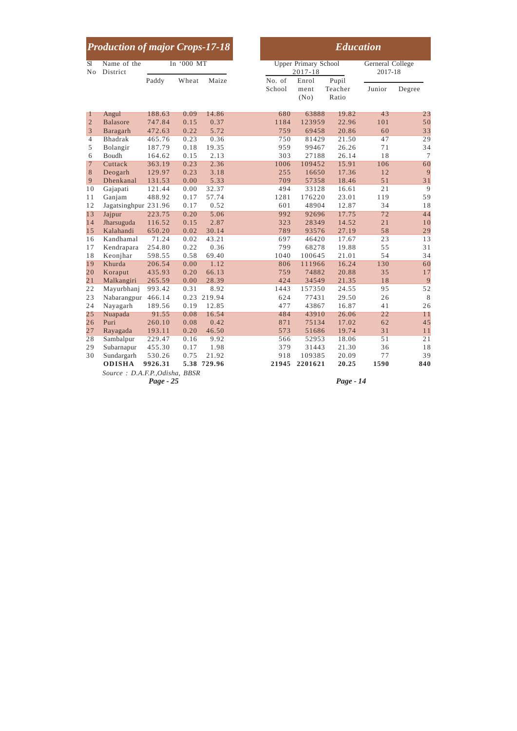|                 | <b>Production of major Crops-17-18</b> |           |            |             |                  |                                            | <b>Education</b>          |                             |        |
|-----------------|----------------------------------------|-----------|------------|-------------|------------------|--------------------------------------------|---------------------------|-----------------------------|--------|
| S1<br>No        | Name of the<br>District                |           | In '000 MT |             |                  | <b>Upper Primary School</b><br>$2017 - 18$ |                           | Gerneral College<br>2017-18 |        |
|                 |                                        | Paddy     | Wheat      | Maize       | No. of<br>School | Enrol<br>ment<br>(No)                      | Pupil<br>Teacher<br>Ratio | Junior                      | Degree |
| $\mathbf{1}$    | Angul                                  | 188.63    | 0.09       | 14.86       | 680              | 63888                                      | 19.82                     | 43                          | 23     |
| $\overline{2}$  | <b>Balasore</b>                        | 747.84    | 0.15       | 0.37        | 1184             | 123959                                     | 22.96                     | 101                         | 50     |
| 3               | Baragarh                               | 472.63    | 0.22       | 5.72        | 759              | 69458                                      | 20.86                     | 60                          | 33     |
| $\overline{4}$  | <b>Bhadrak</b>                         | 465.76    | 0.23       | 0.36        | 750              | 81429                                      | 21.50                     | 47                          | 29     |
| 5               | Bolangir                               | 187.79    | 0.18       | 19.35       | 959              | 99467                                      | 26.26                     | 71                          | 34     |
| 6               | Boudh                                  | 164.62    | 0.15       | 2.13        | 303              | 27188                                      | 26.14                     | 18                          | $\tau$ |
| $7\phantom{.0}$ | Cuttack                                | 363.19    | 0.23       | 2.36        | 1006             | 109452                                     | 15.91                     | 106                         | 60     |
| $\,8\,$         | Deogarh                                | 129.97    | 0.23       | 3.18        | 255              | 16650                                      | 17.36                     | 12                          | 9      |
| $\overline{9}$  | Dhenkanal                              | 131.53    | 0.00       | 5.33        | 709              | 57358                                      | 18.46                     | 51                          | 31     |
| 10              | Gajapati                               | 121.44    | 0.00       | 32.37       | 494              | 33128                                      | 16.61                     | 21                          | 9      |
| 11              | Ganjam                                 | 488.92    | 0.17       | 57.74       | 1281             | 176220                                     | 23.01                     | 119                         | 59     |
| 12              | Jagatsinghpur 231.96                   |           | 0.17       | 0.52        | 601              | 48904                                      | 12.87                     | 34                          | 18     |
| 13              | Jajpur                                 | 223.75    | 0.20       | 5.06        | 992              | 92696                                      | 17.75                     | 72                          | 44     |
| 14              | Jharsuguda                             | 116.52    | 0.15       | 2.87        | 323              | 28349                                      | 14.52                     | 21                          | 10     |
| 15              | Kalahandi                              | 650.20    | 0.02       | 30.14       | 789              | 93576                                      | 27.19                     | 58                          | 29     |
| 16              | Kandhamal                              | 71.24     | 0.02       | 43.21       | 697              | 46420                                      | 17.67                     | 23                          | 13     |
| 17              | Kendrapara                             | 254.80    | 0.22       | 0.36        | 799              | 68278                                      | 19.88                     | 55                          | 31     |
| 18              | Keonjhar                               | 598.55    | 0.58       | 69.40       | 1040             | 100645                                     | 21.01                     | 54                          | 34     |
| 19              | Khurda                                 | 206.54    | 0.00       | 1.12        | 806              | 111966                                     | 16.24                     | 130                         | 60     |
| 20              | Koraput                                | 435.93    | 0.20       | 66.13       | 759              | 74882                                      | 20.88                     | 35                          | 17     |
| 21              | Malkangiri                             | 265.59    | 0.00       | 28.39       | 424              | 34549                                      | 21.35                     | 18                          | 9      |
| 22              | Mayurbhanj                             | 993.42    | 0.31       | 8.92        | 1443             | 157350                                     | 24.55                     | 95                          | 52     |
| 23              | Nabarangpur 466.14                     |           | 0.23       | 219.94      | 624              | 77431                                      | 29.50                     | 26                          | 8      |
| 24              | Nayagarh                               | 189.56    | 0.19       | 12.85       | 477              | 43867                                      | 16.87                     | 41                          | 26     |
| 25              | Nuapada                                | 91.55     | 0.08       | 16.54       | 484              | 43910                                      | 26.06                     | 22                          | 11     |
| 26              | Puri                                   | 260.10    | 0.08       | 0.42        | 871              | 75134                                      | 17.02                     | 62                          | 45     |
| 27              | Rayagada                               | 193.11    | 0.20       | 46.50       | 573              | 51686                                      | 19.74                     | 31                          | 11     |
| 28              | Sambalpur                              | 229.47    | 0.16       | 9.92        | 566              | 52953                                      | 18.06                     | 51                          | 21     |
| 29              | Subarnapur                             | 455.30    | 0.17       | 1.98        | 379              | 31443                                      | 21.30                     | 36                          | 18     |
| 30              | Sundargarh                             | 530.26    | 0.75       | 21.92       | 918              | 109385                                     | 20.09                     | 77                          | 39     |
|                 | <b>ODISHA</b>                          | 9926.31   |            | 5.38 729.96 | 21945            | 2201621                                    | 20.25                     | 1590                        | 840    |
|                 | Source: D.A.F.P., Odisha, BBSR         | Page - 25 |            |             |                  |                                            | Page - 14                 |                             |        |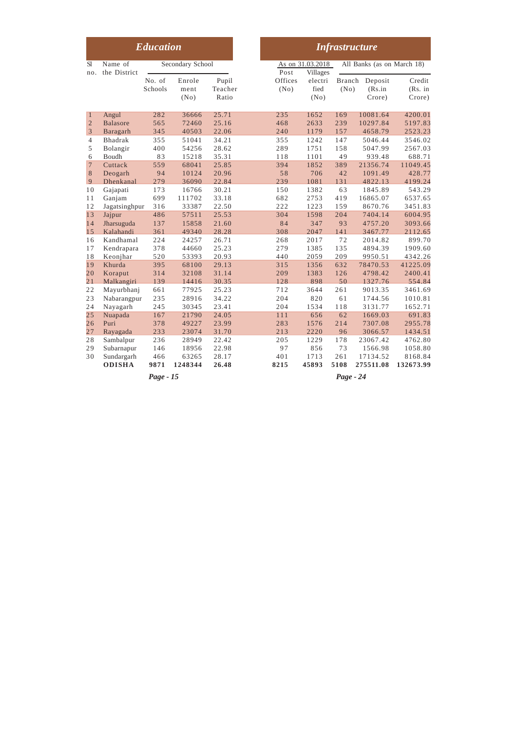| <b>Education</b>  |                                           |                    |                           |                           |                   |                                     | <b>Infrastructure</b> |                                    |                                 |
|-------------------|-------------------------------------------|--------------------|---------------------------|---------------------------|-------------------|-------------------------------------|-----------------------|------------------------------------|---------------------------------|
| <b>S</b> l<br>no. | Name of<br>the District                   |                    | Secondary School          |                           | Post              | As on 31.03.2018<br><b>Villages</b> |                       | All Banks (as on March 18)         |                                 |
|                   |                                           | No. of<br>Schools  | Enrole<br>ment<br>(No)    | Pupil<br>Teacher<br>Ratio | Offices<br>(No)   | electri<br>fied<br>(No)             | (No)                  | Branch Deposit<br>(Rs.in<br>Crore) | Credit<br>(Rs. in<br>Crore)     |
| $\mathbf{1}$      | Angul                                     | 282                | 36666                     | 25.71                     | 235               | 1652                                | 169                   | 10081.64                           | 4200.01                         |
| $\sqrt{2}$        | <b>Balasore</b>                           | 565                | 72460                     | 25.16                     | 468               | 2633                                | 239                   | 10297.84                           | 5197.83                         |
| 3                 | Baragarh                                  | 345                | 40503                     | 22.06                     | 240               | 1179                                | 157                   | 4658.79                            | 2523.23                         |
| $\overline{4}$    | <b>Bhadrak</b>                            | 355                | 51041                     | 34.21                     | 355               | 1242                                | 147                   | 5046.44                            | 3546.02                         |
| 5                 | Bolangir                                  | 400                | 54256                     | 28.62                     | 289               | 1751                                | 158                   | 5047.99                            | 2567.03                         |
| 6                 | Boudh                                     | 83                 | 15218                     | 35.31                     | 118               | 1101                                | 49                    | 939.48                             | 688.71                          |
| $\overline{7}$    | Cuttack                                   | 559                | 68041                     | 25.85                     | 394               | 1852                                | 389                   | 21356.74                           | 11049.45                        |
| $\,8\,$           | Deogarh                                   | 94                 | 10124                     | 20.96                     | 58                | 706                                 | 42                    | 1091.49                            | 428.77                          |
| 9                 | Dhenkanal                                 | 279                | 36090                     | 22.84                     | 239               | 1081                                | 131                   | 4822.13                            | 4199.24                         |
| 10                | Gajapati                                  | 173                | 16766                     | 30.21                     | 150               | 1382                                | 63                    | 1845.89                            | 543.29                          |
| 11                | Ganjam                                    | 699                | 111702                    | 33.18                     | 682               | 2753                                | 419                   | 16865.07                           | 6537.65                         |
| 12                | Jagatsinghpur                             | 316                | 33387                     | 22.50                     | 222               | 1223                                | 159                   | 8670.76                            | 3451.83                         |
| 13                | Jajpur                                    | 486                | 57511                     | 25.53                     | 304               | 1598                                | 204                   | 7404.14                            | 6004.95                         |
| 14                | Jharsuguda                                | 137                | 15858                     | 21.60                     | 84                | 347                                 | 93                    | 4757.20                            | 3093.66                         |
| 15                | Kalahandi                                 | 361                | 49340                     | 28.28                     | 308               | 2047                                | 141                   | 3467.77                            | 2112.65                         |
| 16                | Kandhamal                                 | 224                | 24257                     | 26.71                     | 268               | 2017                                | 72                    | 2014.82                            | 899.70                          |
| 17                | Kendrapara                                | 378                | 44660                     | 25.23                     | 279               | 1385                                | 135                   | 4894.39                            | 1909.60                         |
| 18                | Keonjhar                                  | 520                | 53393                     | 20.93                     | 440               | 2059                                | 209                   | 9950.51                            | 4342.26                         |
| 19                | Khurda                                    | 395                | 68100                     | 29.13                     | 315               | 1356                                | 632                   | 78470.53                           | 41225.09                        |
| 20                | Koraput                                   | 314                | 32108                     | 31.14                     | 209               | 1383                                | 126                   | 4798.42                            | 2400.41                         |
| 21                | Malkangiri                                | 139                | 14416                     | 30.35                     | 128               | 898                                 | 50                    | 1327.76                            | 554.84                          |
| 22                | Mayurbhanj                                | 661                | 77925                     | 25.23                     | 712               | 3644                                | 261                   | 9013.35                            | 3461.69                         |
| 23                | Nabarangpur                               | 235                | 28916                     | 34.22                     | 204               | 820                                 | 61                    | 1744.56                            | 1010.81                         |
| 24                | Nayagarh                                  | 245                | 30345                     | 23.41                     | 204               | 1534                                | 118                   | 3131.77                            | 1652.71                         |
| 25                | Nuapada                                   | 167                | 21790                     | 24.05                     | 111               | 656                                 | 62                    | 1669.03                            | 691.83                          |
| 26                | Puri                                      | 378                | 49227                     | 23.99                     | 283               | 1576                                | 214                   | 7307.08                            | 2955.78                         |
| 27                | Rayagada                                  | 233                | 23074                     | 31.70                     | 213               | 2220                                | 96                    | 3066.57                            | 1434.51                         |
| 28                | Sambalpur                                 | 236                | 28949                     | 22.42                     | 205               | 1229                                | 178                   | 23067.42                           | 4762.80                         |
| 29<br>30          | Subarnapur<br>Sundargarh<br><b>ODISHA</b> | 146<br>466<br>9871 | 18956<br>63265<br>1248344 | 22.98<br>28.17<br>26.48   | 97<br>401<br>8215 | 856<br>1713<br>45893                | 73<br>261<br>5108     | 1566.98<br>17134.52<br>275511.08   | 1058.80<br>8168.84<br>132673.99 |
|                   |                                           | Page - 15          |                           |                           |                   |                                     | Page - 24             |                                    |                                 |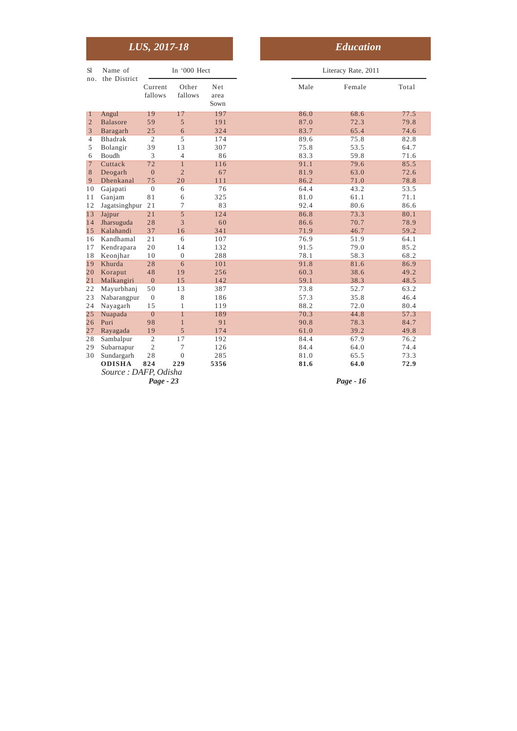|                 |                                       | LUS, 2017-18       |                  |                     |
|-----------------|---------------------------------------|--------------------|------------------|---------------------|
| <b>S1</b>       | Name of<br>the District               |                    | In '000 Hect     |                     |
| no.             |                                       | Current<br>fallows | Other<br>fallows | Net<br>area<br>Sown |
| $\mathbf{1}$    | Angul                                 | 19                 | 17               | 197                 |
| $\overline{2}$  | <b>Balasore</b>                       | 59                 | 5                | 191                 |
| 3               | Baragarh                              | 25                 | 6                | 324                 |
| $\overline{4}$  | <b>Bhadrak</b>                        | $\overline{2}$     | 5                | 174                 |
| 5               | Bolangir                              | 39                 | 13               | 307                 |
| 6               | Boudh                                 | 3                  | $\overline{4}$   | 86                  |
| $7\phantom{.0}$ | Cuttack                               | 72                 | $\overline{1}$   | 116                 |
| 8               | Deogarh                               | $\mathbf{0}$       | $\overline{2}$   | 67                  |
| 9               | Dhenkanal                             | 75                 | 20               | 111                 |
| 10              | Gajapati                              | $\boldsymbol{0}$   | 6                | 76                  |
| 11              | Ganjam                                | 81                 | 6                | 325                 |
| 12              | Jagatsinghpur                         | 21                 | 7                | 83                  |
| 13              | Jajpur                                | 21                 | 5                | 124                 |
| 14              | Jharsuguda                            | 28                 | 3                | 60                  |
| 15              | Kalahandi                             | 37                 | 16               | 341                 |
| 16              | Kandhamal                             | 21                 | 6                | 107                 |
| 17              | Kendrapara                            | 20                 | 14               | 132                 |
| 18              | Keonjhar                              | 10                 | $\overline{0}$   | 288                 |
| 19              | Khurda                                | 28                 | 6                | 101                 |
| 20              | Koraput                               | 48                 | 19               | 256                 |
| $\overline{21}$ | Malkangiri                            | $\overline{0}$     | 15               | 142                 |
| 22              | Mayurbhanj                            | 50                 | 13               | 387                 |
| 23              | Nabarangpur                           | $\mathbf{0}$       | 8                | 186                 |
| 24              | Nayagarh                              | 15                 | $\mathbf{1}$     | 119                 |
| 25              | Nuapada                               | $\boldsymbol{0}$   | 1                | 189                 |
| 26              | Puri                                  | 98                 | $\mathbf{1}$     | 91                  |
| 27              | Rayagada                              | 19                 | 5                | 174                 |
| 28              | Sambalpur                             | $\overline{2}$     | 17               | 192                 |
| 29              | Subarnapur                            | $\overline{2}$     | 7                | 126                 |
| 30              | Sundargarh                            | 28                 | $\overline{0}$   | 285                 |
|                 | <b>ODISHA</b><br>Source: DAFP, Odisha | 824<br>$Page - 23$ | 229              | 5356                |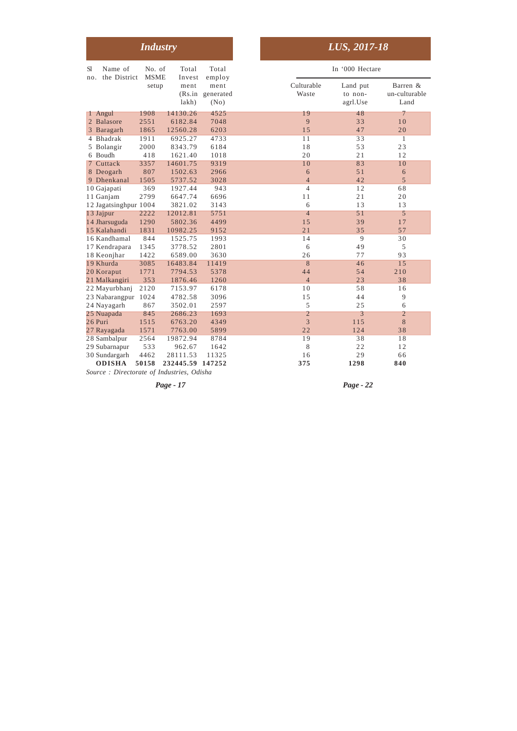|                                      | <b>Industry</b>       |                     |                                   |                     | LUS, 2017-18                    |                                   |
|--------------------------------------|-----------------------|---------------------|-----------------------------------|---------------------|---------------------------------|-----------------------------------|
| Name of<br>S1<br>the District<br>no. | No. of<br><b>MSME</b> | Total<br>Invest     | Total<br>employ                   |                     | In '000 Hectare                 |                                   |
|                                      | setup                 | ment<br>lakh)       | ment<br>(Rs.in generated)<br>(No) | Culturable<br>Waste | Land put<br>to non-<br>agrl.Use | Barren &<br>un-culturable<br>Land |
| 1 Angul                              | 1908                  | 14130.26            | 4525                              | 19                  | 48                              | 7                                 |
| 2 Balasore                           | 2551                  | 6182.84             | 7048                              | 9                   | 33                              | 10                                |
| 3 Baragarh                           | 1865                  | 12560.28            | 6203                              | 15                  | 47                              | 20                                |
| Bhadrak<br>4                         | 1911                  | 6925.27             | 4733                              | 11                  | $\overline{33}$                 | 1                                 |
| 5 Bolangir                           | 2000                  | 8343.79             | 6184                              | 18                  | 53                              | 23                                |
| 6 Boudh                              | 418                   | 1621.40             | 1018                              | 20                  | 21                              | 12                                |
| 7 Cuttack                            | 3357                  | 14601.75            | 9319                              | 10                  | 83                              | 10                                |
| 8 Deogarh                            | 807                   | 1502.63             | 2966                              | 6                   | 51                              | 6                                 |
| 9 Dhenkanal                          | 1505                  | 5737.52             | 3028                              | $\overline{4}$      | 42                              | 5                                 |
| 10 Gajapati                          | 369                   | 1927.44             | 943                               | $\overline{4}$      | 12                              | 68                                |
| 11 Ganjam                            | 2799                  | 6647.74             | 6696                              | 11                  | 21                              | 20                                |
| 12 Jagatsinghpur 1004                |                       | 3821.02             | 3143                              | 6                   | 13                              | 13                                |
| 13 Jajpur                            | 2222                  | 12012.81            | 5751                              | $\overline{4}$      | 51                              | 5                                 |
| 14 Jharsuguda                        | 1290                  | 5802.36             | 4499                              | 15                  | 39                              | 17                                |
| 15 Kalahandi                         | 1831                  | 10982.25            | 9152                              | 21                  | 35                              | 57                                |
| 16 Kandhamal                         | 844                   | 1525.75             | 1993                              | 14                  | 9                               | 30                                |
| 17 Kendrapara                        | 1345<br>1422          | 3778.52             | 2801<br>3630                      | 6<br>26             | 49<br>77                        | 5<br>93                           |
| 18 Keonjhar<br>19 Khurda             | 3085                  | 6589.00<br>16483.84 | 11419                             | 8                   | 46                              | 15                                |
|                                      | 1771                  | 7794.53             |                                   | 44                  | 54                              | 210                               |
| 20 Koraput<br>21 Malkangiri          | 353                   | 1876.46             | 5378<br>1260                      | $\overline{4}$      | 23                              | 38                                |
| 22 Mayurbhanj                        | 2120                  | 7153.97             | 6178                              | 1 <sub>0</sub>      | 58                              | 16                                |
| 23 Nabarangpur 1024                  |                       | 4782.58             | 3096                              | 15                  | 44                              | 9                                 |
| 24 Nayagarh                          | 867                   | 3502.01             | 2597                              | 5                   | 25                              | 6                                 |
| 25 Nuapada                           | 845                   | 2686.23             | 1693                              | 2                   | 3                               | $\overline{2}$                    |
| 26 Puri                              | 1515                  | 6763.20             | 4349                              | 3                   | 115                             | 8                                 |
| 27 Rayagada                          | 1571                  | 7763.00             | 5899                              | 22                  | 124                             | 38                                |
| 28 Sambalpur                         | 2564                  | 19872.94            | 8784                              | 19                  | 38                              | 18                                |
| 29 Subarnapur                        | 533                   | 962.67              | 1642                              | 8                   | 22                              | 12                                |
| 30 Sundargarh                        | 4462                  | 28111.53            | 11325                             | 16                  | 29                              | 66                                |
| <b>ODISHA</b>                        | 50158                 | 232445.59           | 147252                            | 375                 | 1298                            | 840                               |

*Source : Directorate of Industries, Odisha*

*Page - 17 Page - 22*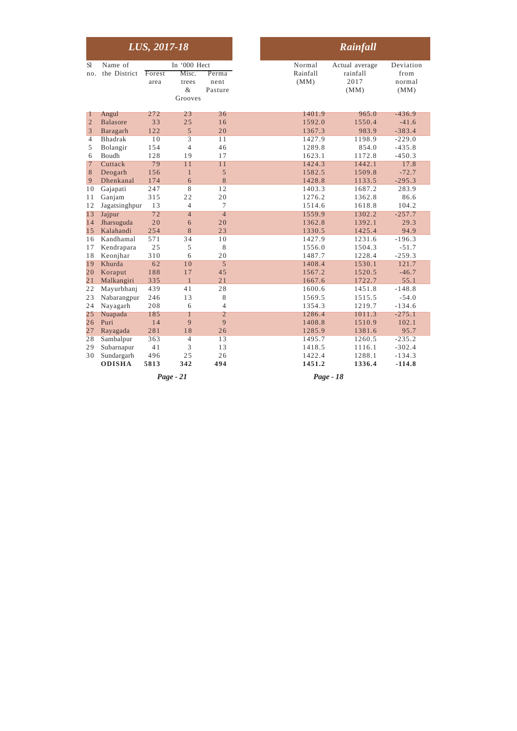|                     |                          | LUS, 2017-18 |                       |                 |
|---------------------|--------------------------|--------------|-----------------------|-----------------|
| S1<br>no.           | Name of<br>the District  | Forest       | In '000 Hect<br>Misc. | Perma           |
|                     |                          | area         | trees<br>&            | nent<br>Pasture |
|                     |                          |              | Grooves               |                 |
| 1                   | Angul                    | 272          | 23                    | 36              |
| $\overline{2}$      | <b>Balasore</b>          | 33           | 25                    | 16              |
| 3                   | Baragarh                 | 122          | 5                     | 20              |
| 4                   | <b>Bhadrak</b>           | 10           | $\overline{3}$        | 11<br>46        |
| 5                   | Bolangir<br>Boudh        | 154<br>128   | $\overline{4}$<br>19  | 17              |
| 6<br>$\overline{7}$ | Cuttack                  | 79           | 11                    | 11              |
| 8                   | Deogarh                  | 156          | $\mathbf{1}$          | 5               |
| 9                   | Dhenkanal                | 174          | 6                     | 8               |
| 10                  | Gajapati                 | 247          | 8                     | 12              |
| 11                  | Ganjam                   | 315          | 22                    | 20              |
| 12                  | Jagatsinghpur            | 13           | $\overline{4}$        | $\overline{7}$  |
| 13                  | Jajpur                   | 72           | $\overline{4}$        | $\overline{4}$  |
| 14                  | Jharsuguda               | 20           | 6                     | 20              |
| 15                  | Kalahandi                | 254          | 8                     | 23              |
| 16                  | Kandhamal                | 571          | 34                    | 10              |
| 17                  | Kendrapara               | 25           | 5                     | 8               |
| 18                  | Keonjhar                 | 310          | 6                     | 20              |
| 19                  | Khurda                   | 62           | 1 <sub>0</sub>        | 5               |
| 20                  | Koraput                  | 188          | 17                    | 45              |
| 21                  | Malkangiri               | 335          | $\mathbf{1}$          | 21              |
| 22                  | Mayurbhanj               | 439          | 41                    | 28              |
| 23                  | Nabarangpur              | 246          | 13                    | 8               |
| 24                  | Nayagarh                 | 208          | 6                     | $\overline{4}$  |
| 25                  | Nuapada                  | 185          | 1                     | 2               |
| 26                  | Puri                     | 14           | 9                     | 9               |
| 27                  | Rayagada                 | 281          | 18                    | 26              |
| $\overline{28}$     | Sambalpur                | 363<br>41    | $\overline{4}$<br>3   | 13<br>13        |
| 29<br>30            | Subarnapur<br>Sundargarh | 496          | 25                    | 26              |
|                     | <b>ODISHA</b>            | 5813         | 342                   | 494             |
|                     |                          |              |                       |                 |
|                     |                          |              | $Page-21$             |                 |